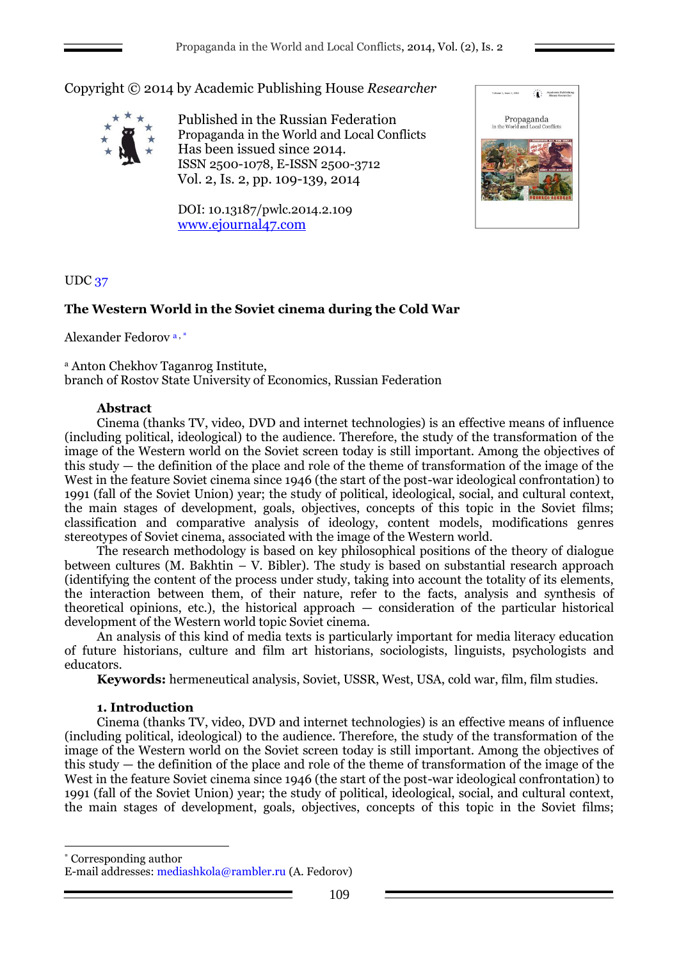Copyright © 2014 by Academic Publishing House *Researcher*



Published in the Russian Federation Propaganda in the World and Local Conflicts Has been issued since 2014. ISSN 2500-1078, E-ISSN 2500-3712 Vol. 2, Is. 2, pp. 109-139, 2014

DOI: 10.13187/pwlc.2014.2.109 [www.ejournal47.com](http://www.ejournal47.com/)



# UDC 37

# **The Western World in the Soviet cinema during the Cold War**

Alexander Fedorov a , \*

<sup>a</sup> Anton Chekhov Taganrog Institute, branch of Rostov State University of Economics, Russian Federation

# **Abstract**

Cinema (thanks TV, video, DVD and internet technologies) is an effective means of influence (including political, ideological) to the audience. Therefore, the study of the transformation of the image of the Western world on the Soviet screen today is still important. Among the objectives of this study — the definition of the place and role of the theme of transformation of the image of the West in the feature Soviet cinema since 1946 (the start of the post-war ideological confrontation) to 1991 (fall of the Soviet Union) year; the study of political, ideological, social, and cultural context, the main stages of development, goals, objectives, concepts of this topic in the Soviet films; classification and comparative analysis of ideology, content models, modifications genres stereotypes of Soviet cinema, associated with the image of the Western world.

The research methodology is based on key philosophical positions of the theory of dialogue between cultures (M. Bakhtin – V. Bibler). The study is based on substantial research approach (identifying the content of the process under study, taking into account the totality of its elements, the interaction between them, of their nature, refer to the facts, analysis and synthesis of theoretical opinions, etc.), the historical approach — consideration of the particular historical development of the Western world topic Soviet cinema.

An analysis of this kind of media texts is particularly important for media literacy education of future historians, culture and film art historians, sociologists, linguists, psychologists and educators.

**Keywords:** hermeneutical analysis, Soviet, USSR, West, USA, cold war, film, film studies.

# **1. Introduction**

1

Cinema (thanks TV, video, DVD and internet technologies) is an effective means of influence (including political, ideological) to the audience. Therefore, the study of the transformation of the image of the Western world on the Soviet screen today is still important. Among the objectives of this study — the definition of the place and role of the theme of transformation of the image of the West in the feature Soviet cinema since 1946 (the start of the post-war ideological confrontation) to 1991 (fall of the Soviet Union) year; the study of political, ideological, social, and cultural context, the main stages of development, goals, objectives, concepts of this topic in the Soviet films;

\* Corresponding author E-mail addresses: mediashkola@rambler.ru (A. Fedorov)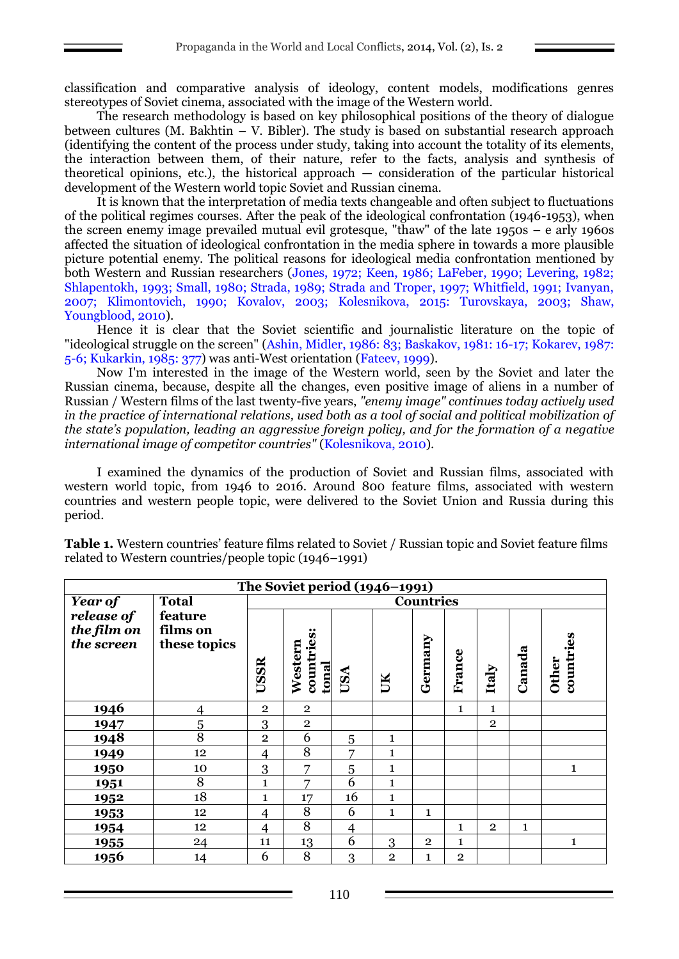classification and comparative analysis of ideology, content models, modifications genres stereotypes of Soviet cinema, associated with the image of the Western world.

The research methodology is based on key philosophical positions of the theory of dialogue between cultures (M. Bakhtin – V. Bibler). The study is based on substantial research approach (identifying the content of the process under study, taking into account the totality of its elements, the interaction between them, of their nature, refer to the facts, analysis and synthesis of theoretical opinions, etc.), the historical approach — consideration of the particular historical development of the Western world topic Soviet and Russian cinema.

It is known that the interpretation of media texts changeable and often subject to fluctuations of the political regimes courses. After the peak of the ideological confrontation (1946-1953), when the screen enemy image prevailed mutual evil grotesque, "thaw" of the late 1950s – e arly 1960s affected the situation of ideological confrontation in the media sphere in towards a more plausible picture potential enemy. The political reasons for ideological media confrontation mentioned by both Western and Russian researchers (Jones, 1972; Keen, 1986; LaFeber, 1990; Levering, 1982; Shlapentokh, 1993; Small, 1980; Strada, 1989; Strada and Troper, 1997; Whitfield, 1991; Ivanyan, 2007; Klimontovich, 1990; Kovalov, 2003; Kolesnikova, 2015: Turovskaya, 2003; Shaw, Youngblood, 2010).

Hence it is clear that the Soviet scientific and journalistic literature on the topic of "ideological struggle on the screen" (Ashin, Midler, 1986: 83; Baskakov, 1981: 16-17; Kokarev, 1987: 5-6; Kukarkin, 1985: 377) was anti-West orientation (Fateev, 1999).

Now I'm interested in the image of the Western world, seen by the Soviet and later the Russian cinema, because, despite all the changes, even positive image of aliens in a number of Russian / Western films of the last twenty-five years, *"enemy image" continues today actively used in the practice of international relations, used both as a tool of social and political mobilization of the state's population, leading an aggressive foreign policy, and for the formation of a negative international image of competitor countries"* (Kolesnikova, 2010).

I examined the dynamics of the production of Soviet and Russian films, associated with western world topic, from 1946 to 2016. Around 800 feature films, associated with western countries and western people topic, were delivered to the Soviet Union and Russia during this period.

| The Soviet period (1946-1991)           |                                     |                  |                                       |                |                |                |              |                |              |                           |
|-----------------------------------------|-------------------------------------|------------------|---------------------------------------|----------------|----------------|----------------|--------------|----------------|--------------|---------------------------|
| Year of                                 | <b>Total</b>                        | <b>Countries</b> |                                       |                |                |                |              |                |              |                           |
| release of<br>the film on<br>the screen | feature<br>films on<br>these topics | USSR             | countries:<br>Western<br><u>tonal</u> | USA            | UK             | Germany        | France       | Italy          | Canada       | countries<br><b>Other</b> |
| 1946                                    | $\overline{4}$                      | $\overline{2}$   | $\overline{2}$                        |                |                |                | $\mathbf{1}$ | $\mathbf{1}$   |              |                           |
| 1947                                    | $\overline{5}$                      | 3                | $\mathbf{2}$                          |                |                |                |              | $\overline{2}$ |              |                           |
| 1948                                    | 8                                   | $\overline{2}$   | 6                                     | 5              | $\mathbf{1}$   |                |              |                |              |                           |
| 1949                                    | 12                                  | $\overline{4}$   | 8                                     | 7              | 1              |                |              |                |              |                           |
| 1950                                    | 10                                  | $\overline{3}$   | 7                                     | 5              | 1              |                |              |                |              | $\mathbf{1}$              |
| 1951                                    | 8                                   | $\mathbf{1}$     | 7                                     | 6              | 1              |                |              |                |              |                           |
| 1952                                    | 18                                  | $\mathbf{1}$     | 17                                    | 16             | 1              |                |              |                |              |                           |
| 1953                                    | 12                                  | $\overline{4}$   | 8                                     | 6              | $\mathbf{1}$   | $\mathbf{1}$   |              |                |              |                           |
| 1954                                    | 12                                  | $\overline{4}$   | 8                                     | $\overline{4}$ |                |                | $\mathbf{1}$ | $\overline{2}$ | $\mathbf{1}$ |                           |
| 1955                                    | 24                                  | 11               | 13                                    | 6              | 3              | $\overline{2}$ | 1            |                |              | 1                         |
| 1956                                    | 14                                  | 6                | 8                                     | 3              | $\overline{2}$ | 1              | $\mathbf{2}$ |                |              |                           |

**Table 1.** Western countries' feature films related to Soviet / Russian topic and Soviet feature films related to Western countries/people topic (1946–1991)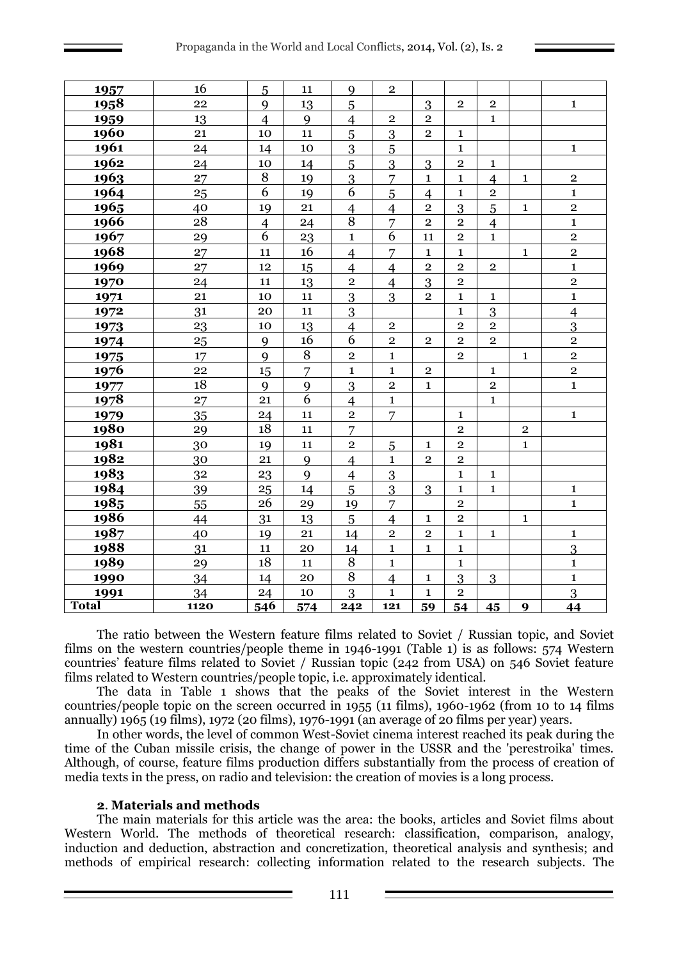| 1957         | 16               | 5                | 11             | 9                       | $\overline{2}$ |                         |                         |                |             |                         |
|--------------|------------------|------------------|----------------|-------------------------|----------------|-------------------------|-------------------------|----------------|-------------|-------------------------|
| <u>1958</u>  | 22               | $\mathbf{Q}$     | 13             | 5                       |                | 3                       | $\mathbf{2}$            | $\overline{2}$ |             | $\mathbf{1}$            |
| 1959         | 13               | $\overline{4}$   | 9              | $\overline{4}$          | $\overline{2}$ | $\overline{2}$          |                         | $\mathbf{1}$   |             |                         |
| 1960         | 21               | 10               | 11             | 5                       | 3              | $\sqrt{2}$              | $\mathbf 1$             |                |             |                         |
| 1961         | 24               | 14               | 10             | $\overline{3}$          | $\overline{5}$ |                         | $\mathbf 1$             |                |             | $\mathbf{1}$            |
| 1962         | 24               | 10               | 14             | $\overline{5}$          | $\overline{3}$ | $\overline{3}$          | $\mathbf 2$             | $\mathbf{1}$   |             |                         |
| 1963         | 27               | $\, 8$           | 19             | $\overline{3}$          | $\overline{7}$ | $\mathbf{1}$            | $\mathbf{1}$            | $\overline{4}$ | $\mathbf 1$ | $\mathbf 2$             |
| 1964         | 25               | 6                | 19             | 6                       | $\overline{5}$ | $\overline{4}$          | $\mathbf{1}$            | $\overline{2}$ |             | $\mathbf 1$             |
| 1965         | 40               | 19               | 21             | $\overline{4}$          | $\overline{4}$ | $\overline{\mathbf{2}}$ | 3                       | 5              | $\mathbf 1$ | $\mathbf 2$             |
| 1966         | 28               | $\overline{4}$   | 24             | 8                       | $\overline{7}$ | $\sqrt{2}$              | $\overline{2}$          | $\overline{4}$ |             | $\mathbf 1$             |
| 1967         | 29               | $\overline{6}$   | 23             | $\mathbf 1$             | $\overline{6}$ | 11                      | $\overline{2}$          | $\mathbf{1}$   |             | $\overline{2}$          |
| 1968         | 27               | 11               | 16             | $\overline{4}$          | $\overline{7}$ | $\mathbf{1}$            | $\mathbf 1$             |                | $\mathbf 1$ | $\overline{2}$          |
| 1969         | 27               | 12               | 15             | $\overline{4}$          | $\overline{4}$ | $\mathbf 2$             | $\overline{2}$          | $\overline{2}$ |             | $\mathbf{1}$            |
| 1970         | 24               | 11               | 13             | $\overline{2}$          | $\overline{4}$ | $\overline{3}$          | $\overline{2}$          |                |             | $\overline{2}$          |
| 1971         | 21               | 10               | 11             | 3                       | 3              | $\mathbf 2$             | $\mathbf{1}$            | $\mathbf{1}$   |             | $\mathbf{1}$            |
| 1972         | 31               | 20               | 11             | $\overline{3}$          |                |                         | $\mathbf{1}$            | 3              |             | $\overline{4}$          |
| 1973         | 23               | 10               | 13             | $\overline{4}$          | $\mathbf 2$    |                         | $\overline{2}$          | $\overline{2}$ |             | $\overline{3}$          |
| 1974         | $25\overline{)}$ | 9                | 16             | 6                       | $\overline{2}$ | $\overline{2}$          | $\overline{2}$          | $\overline{2}$ |             | $\overline{\mathbf{c}}$ |
| 1975         | 17               | 9                | $\, 8$         | $\overline{\mathbf{2}}$ | $\mathbf{1}$   |                         | $\mathbf{2}$            |                | $\mathbf 1$ | $\overline{\mathbf{2}}$ |
| <u>1976</u>  | 22               | 15               | $\overline{7}$ | $\mathbf 1$             | $\mathbf{1}$   | $\mathbf 2$             |                         | $\mathbf{1}$   |             | $\overline{2}$          |
| 1977         | 18               | 9                | 9              | 3                       | $\overline{2}$ | $\mathbf{1}$            |                         | $\overline{2}$ |             | $\mathbf 1$             |
| <u>1978</u>  | 27               | 21               | 6              | $\overline{4}$          | $\mathbf{1}$   |                         |                         | $\mathbf{1}$   |             |                         |
| 1979         | 35               | 24               | 11             | $\overline{2}$          | 7              |                         | $\mathbf 1$             |                |             | $\mathbf{1}$            |
| 1980         | 29               | 18               | 11             | $\overline{7}$          |                |                         | $\overline{2}$          |                | $\mathbf 2$ |                         |
| 1981         | 30               | 19               | 11             | $\mathbf 2$             | 5              | $\mathbf{1}$            | $\overline{2}$          |                | $\mathbf 1$ |                         |
| <u>1982</u>  | 30               | 21               | 9              | $\overline{4}$          | $\mathbf{1}$   | $\mathbf 2$             | $\overline{2}$          |                |             |                         |
| 1983         | 32               | 23               | 9              | $\overline{4}$          | $\overline{3}$ |                         | $\mathbf{1}$            | $\mathbf{1}$   |             |                         |
| 1984         | 39               | 25               | 14             | 5                       | $\overline{3}$ | 3                       | $\mathbf{1}$            | $\mathbf{1}$   |             | $\mathbf 1$             |
| 1985         | 55               | 26               | 29             | 19                      | $\overline{7}$ |                         | $\overline{2}$          |                |             | $\mathbf 1$             |
| 1986         | 44               | 31               | 13             | 5                       | $\overline{4}$ | $\mathbf{1}$            | $\overline{\mathbf{2}}$ |                | $\mathbf 1$ |                         |
| 1987         | 40               | 19               | 21             | 14                      | $\overline{2}$ | $\sqrt{2}$              | $\mathbf{1}$            | $\mathbf{1}$   |             | $\mathbf{1}$            |
| 1988         | 31               | 11               | 20             | 14                      | $\mathbf{1}$   | $\mathbf{1}$            | $\mathbf{1}$            |                |             | 3                       |
| 1989         | 29               | 18               | 11             | $\overline{8}$          | $\mathbf{1}$   |                         | $\mathbf{1}$            |                |             | $\mathbf{1}$            |
| 1990         | 34               | 14               | 20             | $\, 8$                  | $\overline{4}$ | 1                       | 3                       | 3              |             | $\mathbf 1$             |
| 1991         | 34               | 24               | 10             | 3                       | $\mathbf{1}$   | $\mathbf{1}$            | $\mathbf 2$             |                |             | $\overline{3}$          |
| <b>Total</b> | 1120             | $\overline{546}$ | 574            | 242                     | 121            | 59                      | 54                      | 45             | 9           | 44                      |

The ratio between the Western feature films related to Soviet / Russian topic, and Soviet films on the western countries/people theme in 1946-1991 (Table 1) is as follows: 574 Western countries' feature films related to Soviet / Russian topic (242 from USA) on 546 Soviet feature films related to Western countries/people topic, i.e. approximately identical.

The data in Table 1 shows that the peaks of the Soviet interest in the Western countries/people topic on the screen occurred in 1955 (11 films), 1960-1962 (from 10 to 14 films annually) 1965 (19 films), 1972 (20 films), 1976-1991 (an average of 20 films per year) years.

In other words, the level of common West-Soviet cinema interest reached its peak during the time of the Cuban missile crisis, the change of power in the USSR and the 'perestroika' times. Although, of course, feature films production differs substantially from the process of creation of media texts in the press, on radio and television: the creation of movies is a long process.

## . **Materials and methods**

The main materials for this article was the area: the books, articles and Soviet films about Western World. The methods of theoretical research: classification, comparison, analogy, induction and deduction, abstraction and concretization, theoretical analysis and synthesis; and methods of empirical research: collecting information related to the research subjects. The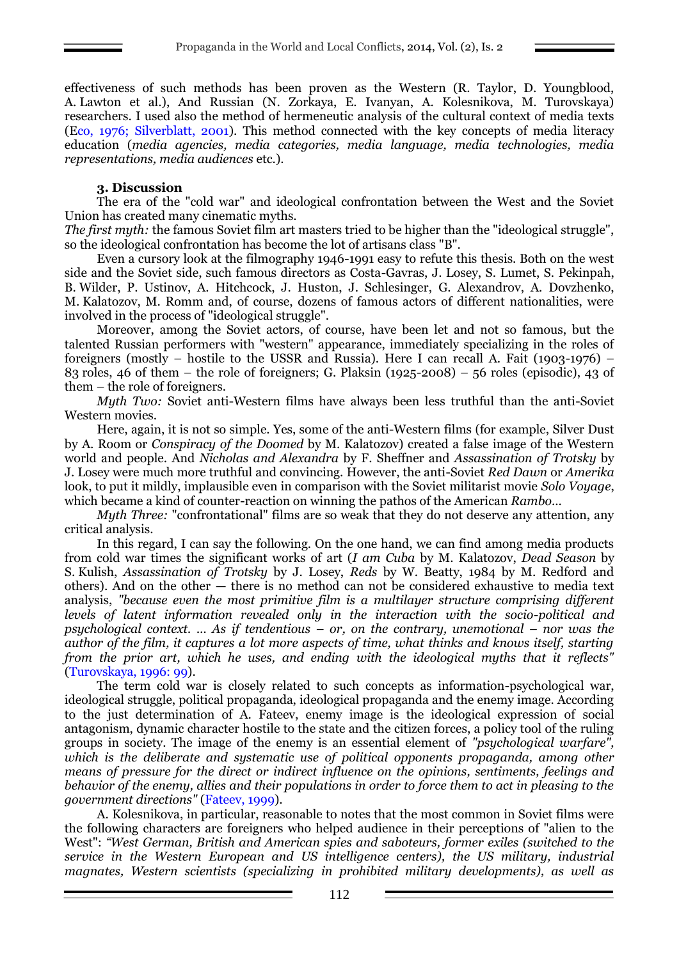effectiveness of such methods has been proven as the Western (R. Taylor, D. Youngblood, A. Lawton et al.), And Russian (N. Zorkaya, E. Ivanyan, A. Kolesnikova, M. Turovskaya) researchers. I used also the method of hermeneutic analysis of the cultural context of media texts (Eco, 1976; Silverblatt, 2001). This method connected with the key concepts of media literacy education (*media agencies, media categories, media language, media technologies, media representations, media audiences* etc.).

## **3. Discussion**

The era of the "cold war" and ideological confrontation between the West and the Soviet Union has created many cinematic myths.

*The first myth:* the famous Soviet film art masters tried to be higher than the "ideological struggle", so the ideological confrontation has become the lot of artisans class "B".

Even a cursory look at the filmography 1946-1991 easy to refute this thesis. Both on the west side and the Soviet side, such famous directors as Costa-Gavras, J. Losey, S. Lumet, S. Pekinpah, B. Wilder, P. Ustinov, A. Hitchcock, J. Huston, J. Schlesinger, G. Alexandrov, A. Dovzhenko, M. Kalatozov, M. Romm and, of course, dozens of famous actors of different nationalities, were involved in the process of "ideological struggle".

Moreover, among the Soviet actors, of course, have been let and not so famous, but the talented Russian performers with "western" appearance, immediately specializing in the roles of foreigners (mostly – hostile to the USSR and Russia). Here I can recall A. Fait (1903-1976) – 83 roles, 46 of them – the role of foreigners; G. Plaksin (1925-2008) – 56 roles (episodic), 43 of them – the role of foreigners.

*Myth Two:* Soviet anti-Western films have always been less truthful than the anti-Soviet Western movies.

Here, again, it is not so simple. Yes, some of the anti-Western films (for example, Silver Dust by A. Room or *Conspiracy of the Doomed* by M. Kalatozov) created a false image of the Western world and people. And *Nicholas and Alexandra* by F. Sheffner and *Assassination of Trotsky* by J. Losey were much more truthful and convincing. However, the anti-Soviet *Red Dawn* or *Amerika*  look, to put it mildly, implausible even in comparison with the Soviet militarist movie *Solo Voyage*, which became a kind of counter-reaction on winning the pathos of the American *Rambo*...

*Myth Three:* "confrontational" films are so weak that they do not deserve any attention, any critical analysis.

In this regard, I can say the following. On the one hand, we can find among media products from cold war times the significant works of art (*I am Cuba* by M. Kalatozov, *Dead Season* by S. Kulish, *Assassination of Trotsky* by J. Losey, *Reds* by W. Beatty, 1984 by M. Redford and others). And on the other — there is no method can not be considered exhaustive to media text analysis, *"because even the most primitive film is a multilayer structure comprising different levels of latent information revealed only in the interaction with the socio-political and psychological context. ... As if tendentious – or, on the contrary, unemotional – nor was the author of the film, it captures a lot more aspects of time, what thinks and knows itself, starting from the prior art, which he uses, and ending with the ideological myths that it reflects"* (Turovskaya, 1996: 99).

The term cold war is closely related to such concepts as information-psychological war, ideological struggle, political propaganda, ideological propaganda and the enemy image. According to the just determination of A. Fateev, enemy image is the ideological expression of social antagonism, dynamic character hostile to the state and the citizen forces, a policy tool of the ruling groups in society. The image of the enemy is an essential element of *"psychological warfare", which is the deliberate and systematic use of political opponents propaganda, among other means of pressure for the direct or indirect influence on the opinions, sentiments, feelings and behavior of the enemy, allies and their populations in order to force them to act in pleasing to the government directions"* (Fateev, 1999).

A. Kolesnikova, in particular, reasonable to notes that the most common in Soviet films were the following characters are foreigners who helped audience in their perceptions of "alien to the West": *"West German, British and American spies and saboteurs, former exiles (switched to the service in the Western European and US intelligence centers), the US military, industrial magnates, Western scientists (specializing in prohibited military developments), as well as*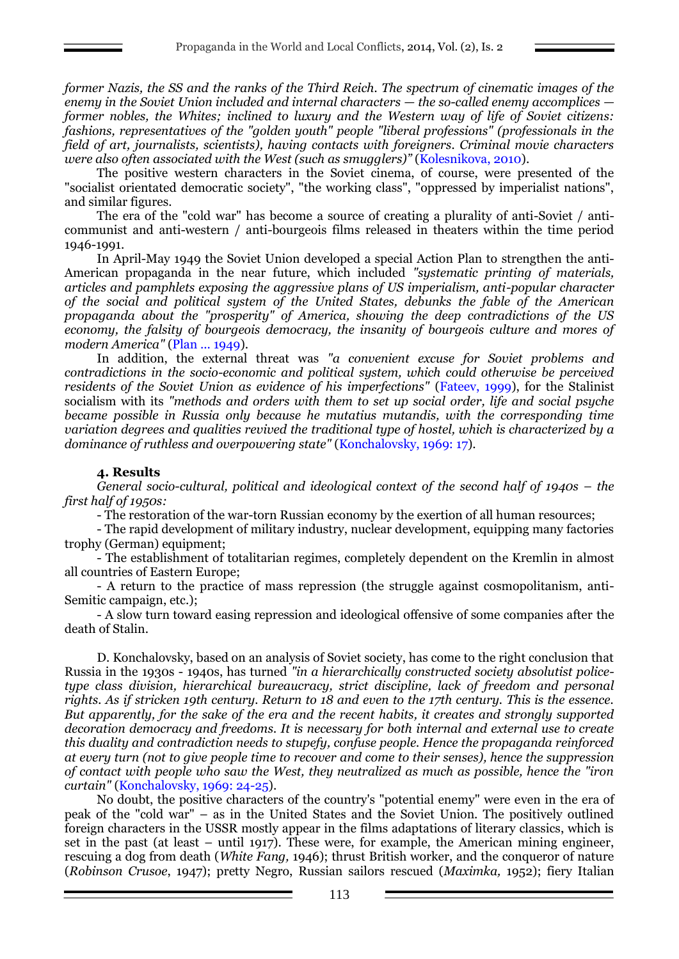*former Nazis, the SS and the ranks of the Third Reich. The spectrum of cinematic images of the enemy in the Soviet Union included and internal characters — the so-called enemy accomplices former nobles, the Whites; inclined to luxury and the Western way of life of Soviet citizens: fashions, representatives of the "golden youth" people "liberal professions" (professionals in the field of art, journalists, scientists), having contacts with foreigners. Criminal movie characters were also often associated with the West (such as smugglers)"* (Kolesnikova, 2010).

The positive western characters in the Soviet cinema, of course, were presented of the "socialist orientated democratic society", "the working class", "oppressed by imperialist nations", and similar figures.

The era of the "cold war" has become a source of creating a plurality of anti-Soviet / anticommunist and anti-western / anti-bourgeois films released in theaters within the time period 1946-1991.

In April-May 1949 the Soviet Union developed a special Action Plan to strengthen the anti-American propaganda in the near future, which included *"systematic printing of materials, articles and pamphlets exposing the aggressive plans of US imperialism, anti-popular character of the social and political system of the United States, debunks the fable of the American propaganda about the "prosperity" of America, showing the deep contradictions of the US economy, the falsity of bourgeois democracy, the insanity of bourgeois culture and mores of modern America"* (Plan ... 1949).

In addition, the external threat was *"a convenient excuse for Soviet problems and contradictions in the socio-economic and political system, which could otherwise be perceived residents of the Soviet Union as evidence of his imperfections"* (Fateev, 1999), for the Stalinist socialism with its *"methods and orders with them to set up social order, life and social psyche became possible in Russia only because he mutatius mutandis, with the corresponding time variation degrees and qualities revived the traditional type of hostel, which is characterized by a dominance of ruthless and overpowering state"* (Konchalovsky, 1969: 17).

## **4. Results**

*General socio-cultural, political and ideological context of the second half of 1940s – the first half of 1950s:*

- The restoration of the war-torn Russian economy by the exertion of all human resources;

- The rapid development of military industry, nuclear development, equipping many factories trophy (German) equipment;

- The establishment of totalitarian regimes, completely dependent on the Kremlin in almost all countries of Eastern Europe;

- A return to the practice of mass repression (the struggle against cosmopolitanism, anti-Semitic campaign, etc.);

- A slow turn toward easing repression and ideological offensive of some companies after the death of Stalin.

D. Konchalovsky, based on an analysis of Soviet society, has come to the right conclusion that Russia in the 1930s - 1940s, has turned *"in a hierarchically constructed society absolutist policetype class division, hierarchical bureaucracy, strict discipline, lack of freedom and personal rights. As if stricken 19th century. Return to 18 and even to the 17th century. This is the essence. But apparently, for the sake of the era and the recent habits, it creates and strongly supported decoration democracy and freedoms. It is necessary for both internal and external use to create this duality and contradiction needs to stupefy, confuse people. Hence the propaganda reinforced at every turn (not to give people time to recover and come to their senses), hence the suppression of contact with people who saw the West, they neutralized as much as possible, hence the "iron curtain"* (Konchalovsky, 1969: 24-25).

No doubt, the positive characters of the country's "potential enemy" were even in the era of peak of the "cold war" – as in the United States and the Soviet Union. The positively outlined foreign characters in the USSR mostly appear in the films adaptations of literary classics, which is set in the past (at least – until 1917). These were, for example, the American mining engineer, rescuing a dog from death (*White Fang,* 1946); thrust British worker, and the conqueror of nature (*Robinson Crusoe*, 1947); pretty Negro, Russian sailors rescued (*Maximka,* 1952); fiery Italian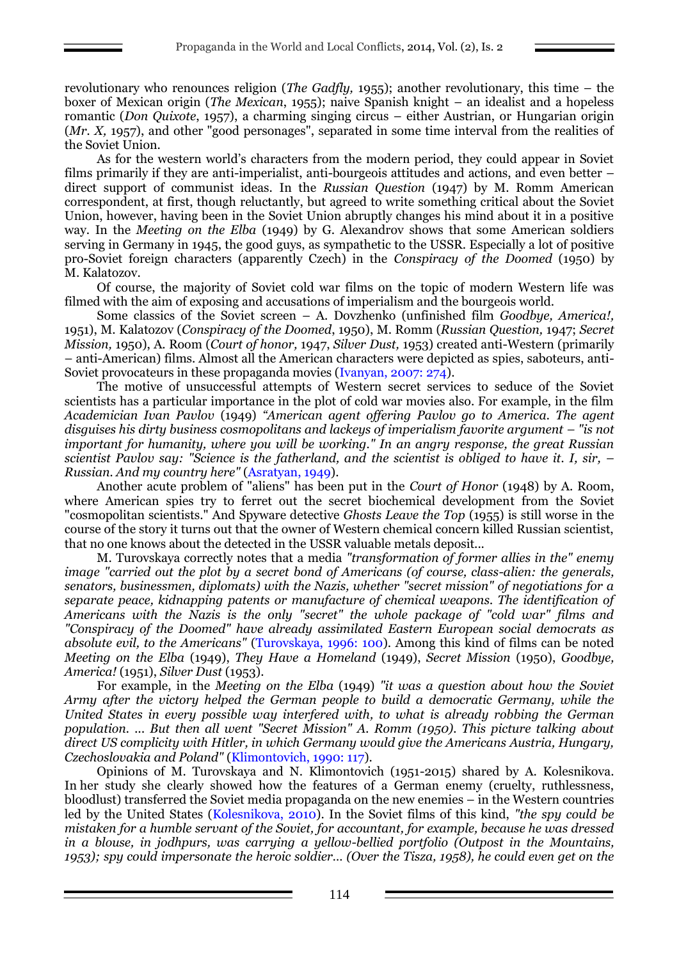revolutionary who renounces religion (*The Gadfly,* 1955); another revolutionary, this time – the boxer of Mexican origin (*The Mexican*, 1955); naive Spanish knight – an idealist and a hopeless romantic (*Don Quixote*, 1957), a charming singing circus – either Austrian, or Hungarian origin (*Mr. X,* 1957), and other "good personages", separated in some time interval from the realities of the Soviet Union.

As for the western world's characters from the modern period, they could appear in Soviet films primarily if they are anti-imperialist, anti-bourgeois attitudes and actions, and even better – direct support of communist ideas. In the *Russian Question* (1947) by M. Romm American correspondent, at first, though reluctantly, but agreed to write something critical about the Soviet Union, however, having been in the Soviet Union abruptly changes his mind about it in a positive way. In the *Meeting on the Elba* (1949) by G. Alexandrov shows that some American soldiers serving in Germany in 1945, the good guys, as sympathetic to the USSR. Especially a lot of positive pro-Soviet foreign characters (apparently Czech) in the *Conspiracy of the Doomed* (1950) by M. Kalatozov.

Of course, the majority of Soviet cold war films on the topic of modern Western life was filmed with the aim of exposing and accusations of imperialism and the bourgeois world.

Some classics of the Soviet screen – A. Dovzhenko (unfinished film *Goodbye, America!,* 1951), M. Kalatozov (*Conspiracy of the Doomed*, 1950), M. Romm (*Russian Question,* 1947; *Secret Mission,* 1950), A. Room (*Court of honor,* 1947, *Silver Dust,* 1953) created anti-Western (primarily – anti-American) films. Almost all the American characters were depicted as spies, saboteurs, anti-Soviet provocateurs in these propaganda movies (Ivanyan, 2007: 274).

The motive of unsuccessful attempts of Western secret services to seduce of the Soviet scientists has a particular importance in the plot of cold war movies also. For example, in the film *Academician Ivan Pavlov* (1949) *"American agent offering Pavlov go to America. The agent disguises his dirty business cosmopolitans and lackeys of imperialism favorite argument – "is not important for humanity, where you will be working." In an angry response, the great Russian scientist Pavlov say: "Science is the fatherland, and the scientist is obliged to have it. I, sir, – Russian. And my country here"* (Asratyan, 1949).

Another acute problem of "aliens" has been put in the *Court of Honor* (1948) by A. Room, where American spies try to ferret out the secret biochemical development from the Soviet "cosmopolitan scientists." And Spyware detective *Ghosts Leave the Top* (1955) is still worse in the course of the story it turns out that the owner of Western chemical concern killed Russian scientist, that no one knows about the detected in the USSR valuable metals deposit...

M. Turovskaya correctly notes that a media *"transformation of former allies in the" enemy image "carried out the plot by a secret bond of Americans (of course, class-alien: the generals, senators, businessmen, diplomats) with the Nazis, whether "secret mission" of negotiations for a separate peace, kidnapping patents or manufacture of chemical weapons. The identification of Americans with the Nazis is the only "secret" the whole package of "cold war" films and "Conspiracy of the Doomed" have already assimilated Eastern European social democrats as absolute evil, to the Americans"* (Turovskaya, 1996: 100). Among this kind of films can be noted *Meeting on the Elba* (1949), *They Have a Homeland* (1949), *Secret Mission* (1950), *Goodbye, America!* (1951), *Silver Dust* (1953).

For example, in the *Meeting on the Elba* (1949) *"it was a question about how the Soviet Army after the victory helped the German people to build a democratic Germany, while the United States in every possible way interfered with, to what is already robbing the German population. ... But then all went "Secret Mission" A. Romm (1950). This picture talking about direct US complicity with Hitler, in which Germany would give the Americans Austria, Hungary, Czechoslovakia and Poland"* (Klimontovich, 1990: 117).

Opinions of M. Turovskaya and N. Klimontovich (1951-2015) shared by A. Kolesnikova. In her study she clearly showed how the features of a German enemy (cruelty, ruthlessness, bloodlust) transferred the Soviet media propaganda on the new enemies – in the Western countries led by the United States (Kolesnikova, 2010). In the Soviet films of this kind, *"the spy could be mistaken for a humble servant of the Soviet, for accountant, for example, because he was dressed in a blouse, in jodhpurs, was carrying a yellow-bellied portfolio (Outpost in the Mountains, 1953); spy could impersonate the heroic soldier… (Over the Tisza, 1958), he could even get on the*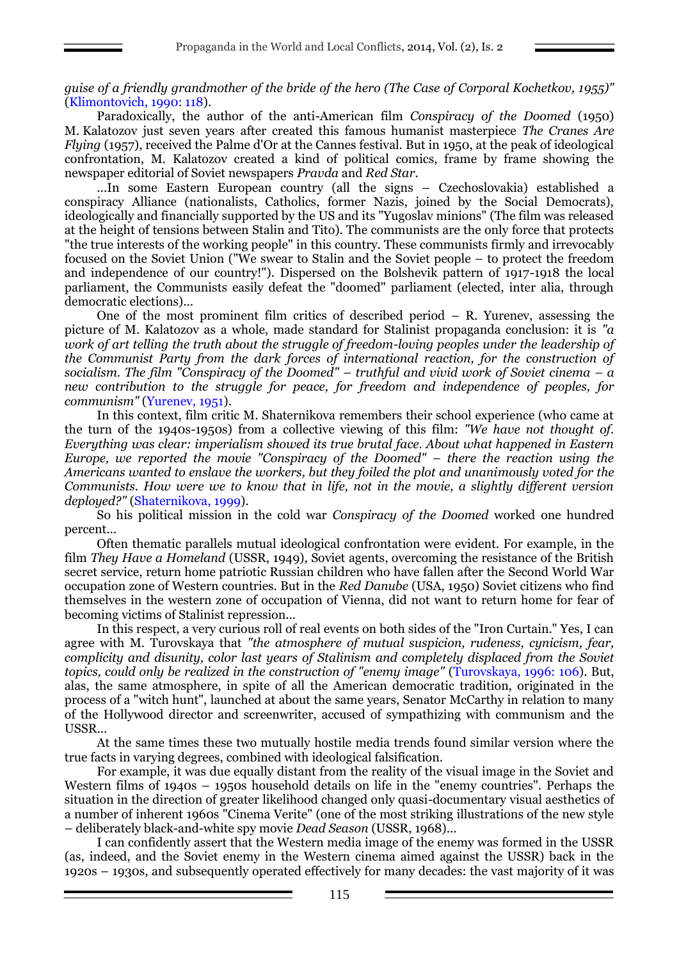*guise of a friendly grandmother of the bride of the hero (The Case of Corporal Kochetkov, 1955)"* (Klimontovich, 1990: 118).

Paradoxically, the author of the anti-American film *Conspiracy of the Doomed* (1950) M. Kalatozov just seven years after created this famous humanist masterpiece *The Cranes Are Flying* (1957), received the Palme d'Or at the Cannes festival. But in 1950, at the peak of ideological confrontation, M. Kalatozov created a kind of political comics, frame by frame showing the newspaper editorial of Soviet newspapers *Pravda* and *Red Star.*

...In some Eastern European country (all the signs – Czechoslovakia) established a conspiracy Alliance (nationalists, Catholics, former Nazis, joined by the Social Democrats), ideologically and financially supported by the US and its "Yugoslav minions" (The film was released at the height of tensions between Stalin and Tito). The communists are the only force that protects "the true interests of the working people" in this country. These communists firmly and irrevocably focused on the Soviet Union ("We swear to Stalin and the Soviet people – to protect the freedom and independence of our country!"). Dispersed on the Bolshevik pattern of 1917-1918 the local parliament, the Communists easily defeat the "doomed" parliament (elected, inter alia, through democratic elections)...

One of the most prominent film critics of described period – R. Yurenev, assessing the picture of M. Kalatozov as a whole, made standard for Stalinist propaganda conclusion: it is *"a work of art telling the truth about the struggle of freedom-loving peoples under the leadership of the Communist Party from the dark forces of international reaction, for the construction of socialism. The film "Conspiracy of the Doomed" – truthful and vivid work of Soviet cinema – a new contribution to the struggle for peace, for freedom and independence of peoples, for communism"* (Yurenev, 1951).

In this context, film critic M. Shaternikova remembers their school experience (who came at the turn of the 1940s-1950s) from a collective viewing of this film: *"We have not thought of. Everything was clear: imperialism showed its true brutal face. About what happened in Eastern Europe, we reported the movie "Conspiracy of the Doomed" – there the reaction using the Americans wanted to enslave the workers, but they foiled the plot and unanimously voted for the Communists. How were we to know that in life, not in the movie, a slightly different version deployed?"* (Shaternikova, 1999).

So his political mission in the cold war *Conspiracy of the Doomed* worked one hundred percent...

Often thematic parallels mutual ideological confrontation were evident. For example, in the film *They Have a Homeland* (USSR, 1949), Soviet agents, overcoming the resistance of the British secret service, return home patriotic Russian children who have fallen after the Second World War occupation zone of Western countries. But in the *Red Danube* (USA, 1950) Soviet citizens who find themselves in the western zone of occupation of Vienna, did not want to return home for fear of becoming victims of Stalinist repression...

In this respect, a very curious roll of real events on both sides of the "Iron Curtain." Yes, I can agree with M. Turovskaya that *"the atmosphere of mutual suspicion, rudeness, cynicism, fear, complicity and disunity, color last years of Stalinism and completely displaced from the Soviet topics, could only be realized in the construction of "enemy image"* (Turovskaya, 1996: 106). But, alas, the same atmosphere, in spite of all the American democratic tradition, originated in the process of a "witch hunt", launched at about the same years, Senator McCarthy in relation to many of the Hollywood director and screenwriter, accused of sympathizing with communism and the USSR...

At the same times these two mutually hostile media trends found similar version where the true facts in varying degrees, combined with ideological falsification.

For example, it was due equally distant from the reality of the visual image in the Soviet and Western films of 1940s – 1950s household details on life in the "enemy countries". Perhaps the situation in the direction of greater likelihood changed only quasi-documentary visual aesthetics of a number of inherent 1960s "Cinema Verite" (one of the most striking illustrations of the new style – deliberately black-and-white spy movie *Dead Season* (USSR, 1968)...

I can confidently assert that the Western media image of the enemy was formed in the USSR (as, indeed, and the Soviet enemy in the Western cinema aimed against the USSR) back in the 1920s – 1930s, and subsequently operated effectively for many decades: the vast majority of it was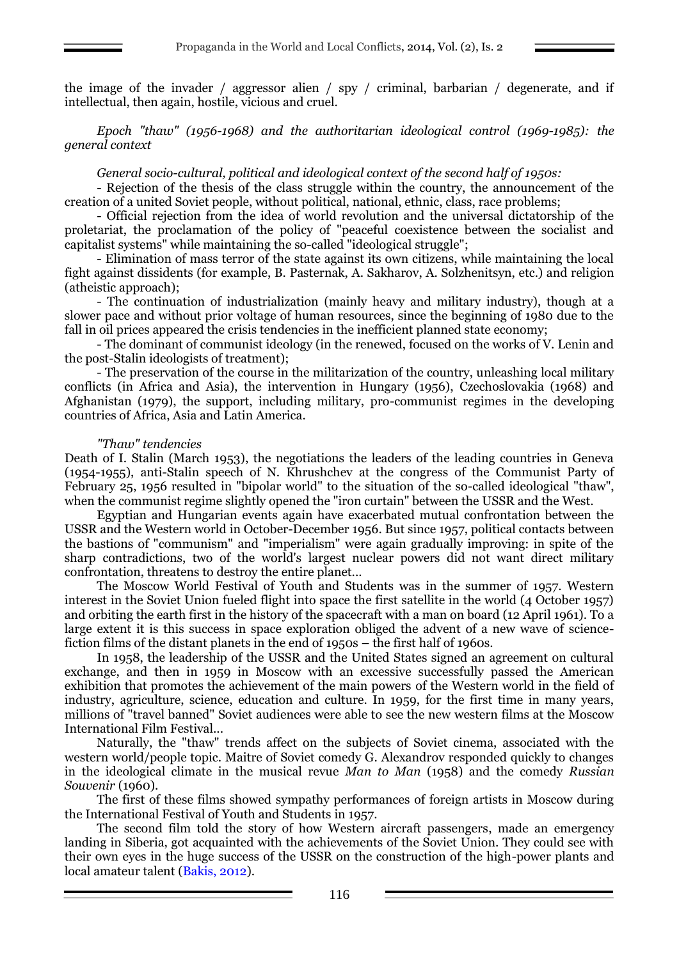the image of the invader / aggressor alien / spy / criminal, barbarian / degenerate, and if intellectual, then again, hostile, vicious and cruel.

*Epoch "thaw" (1956-1968) and the authoritarian ideological control (1969-1985): the general context*

### *General socio-cultural, political and ideological context of the second half of 1950s:*

- Rejection of the thesis of the class struggle within the country, the announcement of the creation of a united Soviet people, without political, national, ethnic, class, race problems;

- Official rejection from the idea of world revolution and the universal dictatorship of the proletariat, the proclamation of the policy of "peaceful coexistence between the socialist and capitalist systems" while maintaining the so-called "ideological struggle";

- Elimination of mass terror of the state against its own citizens, while maintaining the local fight against dissidents (for example, B. Pasternak, A. Sakharov, A. Solzhenitsyn, etc.) and religion (atheistic approach);

- The continuation of industrialization (mainly heavy and military industry), though at a slower pace and without prior voltage of human resources, since the beginning of 1980 due to the fall in oil prices appeared the crisis tendencies in the inefficient planned state economy;

- The dominant of communist ideology (in the renewed, focused on the works of V. Lenin and the post-Stalin ideologists of treatment);

- The preservation of the course in the militarization of the country, unleashing local military conflicts (in Africa and Asia), the intervention in Hungary (1956), Czechoslovakia (1968) and Afghanistan (1979), the support, including military, pro-communist regimes in the developing countries of Africa, Asia and Latin America.

### *"Thaw" tendencies*

Death of I. Stalin (March 1953), the negotiations the leaders of the leading countries in Geneva (1954-1955), anti-Stalin speech of N. Khrushchev at the congress of the Communist Party of February 25, 1956 resulted in "bipolar world" to the situation of the so-called ideological "thaw", when the communist regime slightly opened the "iron curtain" between the USSR and the West.

Egyptian and Hungarian events again have exacerbated mutual confrontation between the USSR and the Western world in October-December 1956. But since 1957, political contacts between the bastions of "communism" and "imperialism" were again gradually improving: in spite of the sharp contradictions, two of the world's largest nuclear powers did not want direct military confrontation, threatens to destroy the entire planet...

The Moscow World Festival of Youth and Students was in the summer of 1957. Western interest in the Soviet Union fueled flight into space the first satellite in the world (4 October 1957) and orbiting the earth first in the history of the spacecraft with a man on board (12 April 1961). To a large extent it is this success in space exploration obliged the advent of a new wave of sciencefiction films of the distant planets in the end of 1950s – the first half of 1960s.

In 1958, the leadership of the USSR and the United States signed an agreement on cultural exchange, and then in 1959 in Moscow with an excessive successfully passed the American exhibition that promotes the achievement of the main powers of the Western world in the field of industry, agriculture, science, education and culture. In 1959, for the first time in many years, millions of "travel banned" Soviet audiences were able to see the new western films at the Moscow International Film Festival...

Naturally, the "thaw" trends affect on the subjects of Soviet cinema, associated with the western world/people topic. Maitre of Soviet comedy G. Alexandrov responded quickly to changes in the ideological climate in the musical revue *Man to Man* (1958) and the comedy *Russian Souvenir* (1960).

The first of these films showed sympathy performances of foreign artists in Moscow during the International Festival of Youth and Students in 1957.

The second film told the story of how Western aircraft passengers, made an emergency landing in Siberia, got acquainted with the achievements of the Soviet Union. They could see with their own eyes in the huge success of the USSR on the construction of the high-power plants and local amateur talent (Bakis, 2012).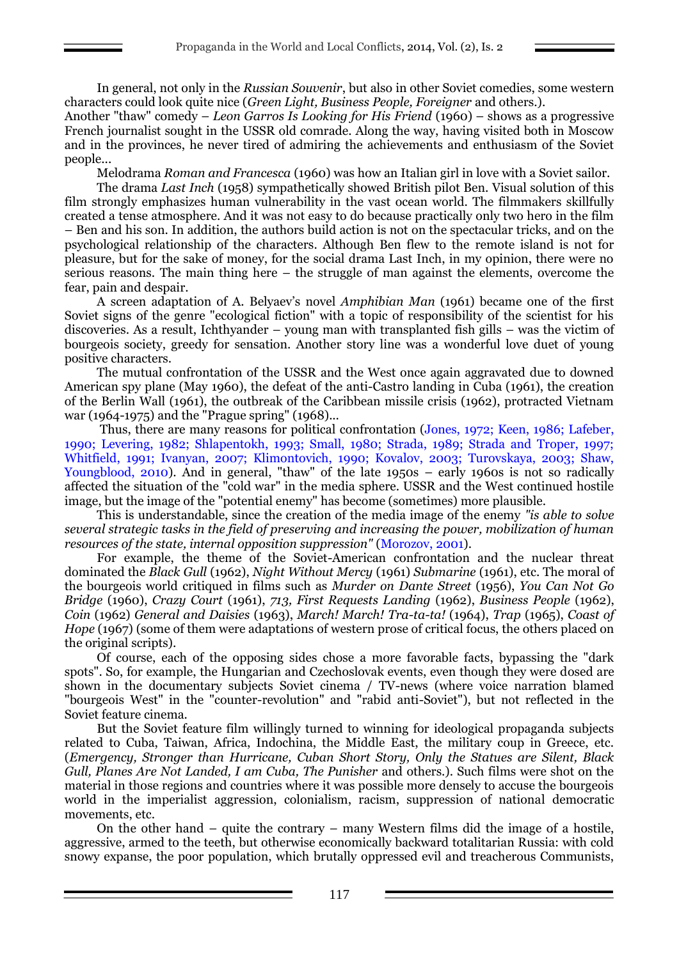In general, not only in the *Russian Souvenir*, but also in other Soviet comedies, some western characters could look quite nice (*Green Light, Business People, Foreigner* and others.).

Another "thaw" comedy – *Leon Garros Is Looking for His Friend* (1960) – shows as a progressive French journalist sought in the USSR old comrade. Along the way, having visited both in Moscow and in the provinces, he never tired of admiring the achievements and enthusiasm of the Soviet people...

Melodrama *Roman and Francesca* (1960) was how an Italian girl in love with a Soviet sailor.

The drama *Last Inch* (1958) sympathetically showed British pilot Ben. Visual solution of this film strongly emphasizes human vulnerability in the vast ocean world. The filmmakers skillfully created a tense atmosphere. And it was not easy to do because practically only two hero in the film – Ben and his son. In addition, the authors build action is not on the spectacular tricks, and on the psychological relationship of the characters. Although Ben flew to the remote island is not for pleasure, but for the sake of money, for the social drama Last Inch, in my opinion, there were no serious reasons. The main thing here – the struggle of man against the elements, overcome the fear, pain and despair.

A screen adaptation of A. Belyaev's novel *Amphibian Man* (1961) became one of the first Soviet signs of the genre "ecological fiction" with a topic of responsibility of the scientist for his discoveries. As a result, Ichthyander – young man with transplanted fish gills – was the victim of bourgeois society, greedy for sensation. Another story line was a wonderful love duet of young positive characters.

The mutual confrontation of the USSR and the West once again aggravated due to downed American spy plane (May 1960), the defeat of the anti-Castro landing in Cuba (1961), the creation of the Berlin Wall (1961), the outbreak of the Caribbean missile crisis (1962), protracted Vietnam war (1964-1975) and the "Prague spring" (1968)...

Thus, there are many reasons for political confrontation (Jones, 1972; Keen, 1986; Lafeber, 1990; Levering, 1982; Shlapentokh, 1993; Small, 1980; Strada, 1989; Strada and Troper, 1997; Whitfield, 1991; Ivanyan, 2007; Klimontovich, 1990; Kovalov, 2003; Turovskaya, 2003; Shaw, Youngblood, 2010). And in general, "thaw" of the late 1950s – early 1960s is not so radically affected the situation of the "cold war" in the media sphere. USSR and the West continued hostile image, but the image of the "potential enemy" has become (sometimes) more plausible.

This is understandable, since the creation of the media image of the enemy *"is able to solve several strategic tasks in the field of preserving and increasing the power, mobilization of human resources of the state, internal opposition suppression"* (Morozov, 2001).

For example, the theme of the Soviet-American confrontation and the nuclear threat dominated the *Black Gull* (1962), *Night Without Mercy* (1961) *Submarine* (1961), etc. The moral of the bourgeois world critiqued in films such as *Murder on Dante Street* (1956), *You Can Not Go Bridge* (1960), *Crazy Court* (1961), *713, First Requests Landing* (1962), *Business People* (1962), *Coin* (1962) *General and Daisies* (1963), *March! March! Tra-ta-ta!* (1964), *Trap* (1965), *Coast of Hope* (1967) (some of them were adaptations of western prose of critical focus, the others placed on the original scripts).

Of course, each of the opposing sides chose a more favorable facts, bypassing the "dark spots". So, for example, the Hungarian and Czechoslovak events, even though they were dosed are shown in the documentary subjects Soviet cinema / TV-news (where voice narration blamed "bourgeois West" in the "counter-revolution" and "rabid anti-Soviet"), but not reflected in the Soviet feature cinema.

But the Soviet feature film willingly turned to winning for ideological propaganda subjects related to Cuba, Taiwan, Africa, Indochina, the Middle East, the military coup in Greece, etc. (*Emergency, Stronger than Hurricane, Cuban Short Story, Only the Statues are Silent, Black Gull, Planes Are Not Landed, I am Cuba, The Punisher* and others.). Such films were shot on the material in those regions and countries where it was possible more densely to accuse the bourgeois world in the imperialist aggression, colonialism, racism, suppression of national democratic movements, etc.

On the other hand – quite the contrary – many Western films did the image of a hostile, aggressive, armed to the teeth, but otherwise economically backward totalitarian Russia: with cold snowy expanse, the poor population, which brutally oppressed evil and treacherous Communists,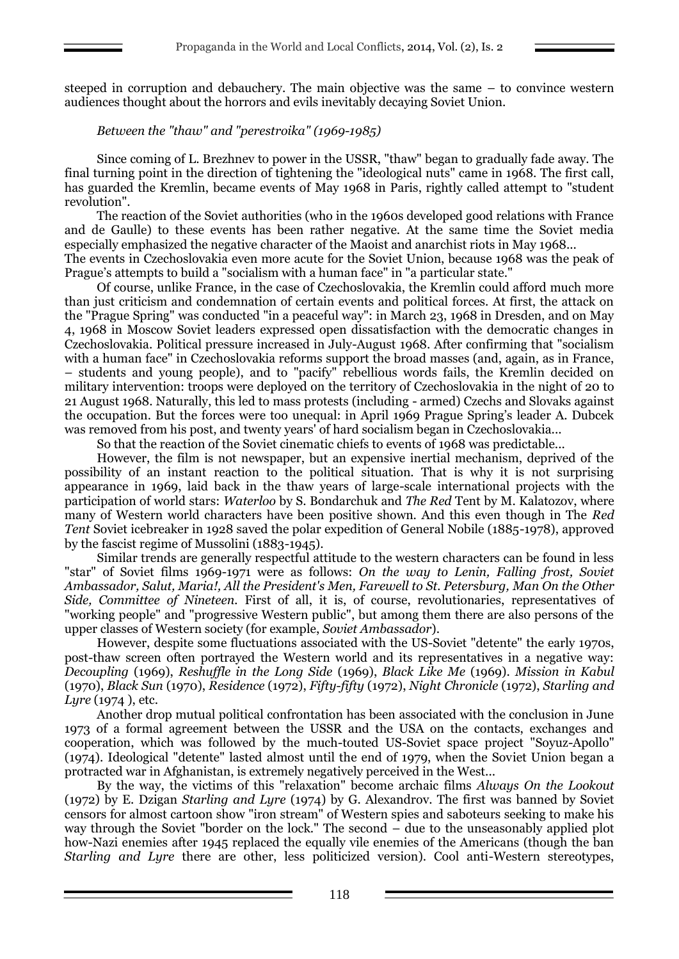steeped in corruption and debauchery. The main objective was the same – to convince western audiences thought about the horrors and evils inevitably decaying Soviet Union.

## *Between the "thaw" and "perestroika" (1969-1985)*

Since coming of L. Brezhnev to power in the USSR, "thaw" began to gradually fade away. The final turning point in the direction of tightening the "ideological nuts" came in 1968. The first call, has guarded the Kremlin, became events of May 1968 in Paris, rightly called attempt to "student revolution".

The reaction of the Soviet authorities (who in the 1960s developed good relations with France and de Gaulle) to these events has been rather negative. At the same time the Soviet media especially emphasized the negative character of the Maoist and anarchist riots in May 1968...

The events in Czechoslovakia even more acute for the Soviet Union, because 1968 was the peak of Prague's attempts to build a "socialism with a human face" in "a particular state."

Of course, unlike France, in the case of Czechoslovakia, the Kremlin could afford much more than just criticism and condemnation of certain events and political forces. At first, the attack on the "Prague Spring" was conducted "in a peaceful way": in March 23, 1968 in Dresden, and on May 4, 1968 in Moscow Soviet leaders expressed open dissatisfaction with the democratic changes in Czechoslovakia. Political pressure increased in July-August 1968. After confirming that "socialism with a human face" in Czechoslovakia reforms support the broad masses (and, again, as in France, – students and young people), and to "pacify" rebellious words fails, the Kremlin decided on military intervention: troops were deployed on the territory of Czechoslovakia in the night of 20 to 21 August 1968. Naturally, this led to mass protests (including - armed) Czechs and Slovaks against the occupation. But the forces were too unequal: in April 1969 Prague Spring's leader A. Dubcek was removed from his post, and twenty years' of hard socialism began in Czechoslovakia...

So that the reaction of the Soviet cinematic chiefs to events of 1968 was predictable...

However, the film is not newspaper, but an expensive inertial mechanism, deprived of the possibility of an instant reaction to the political situation. That is why it is not surprising appearance in 1969, laid back in the thaw years of large-scale international projects with the participation of world stars: *Waterloo* by S. Bondarchuk and *The Red* Tent by M. Kalatozov, where many of Western world characters have been positive shown. And this even though in The *Red Tent* Soviet icebreaker in 1928 saved the polar expedition of General Nobile (1885-1978), approved by the fascist regime of Mussolini (1883-1945).

Similar trends are generally respectful attitude to the western characters can be found in less "star" of Soviet films 1969-1971 were as follows: *On the way to Lenin, Falling frost, Soviet Ambassador, Salut, Maria!, All the President's Men, Farewell to St. Petersburg, Man On the Other Side, Committee of Nineteen.* First of all, it is, of course, revolutionaries, representatives of "working people" and "progressive Western public", but among them there are also persons of the upper classes of Western society (for example, *Soviet Ambassador*).

However, despite some fluctuations associated with the US-Soviet "detente" the early 1970s, post-thaw screen often portrayed the Western world and its representatives in a negative way: *Decoupling* (1969), *Reshuffle in the Long Side* (1969), *Black Like Me* (1969). *Mission in Kabul* (1970), *Black Sun* (1970), *Residence* (1972), *Fifty-fifty* (1972), *Night Chronicle* (1972), *Starling and Lyre* (1974 ), etc.

Another drop mutual political confrontation has been associated with the conclusion in June 1973 of a formal agreement between the USSR and the USA on the contacts, exchanges and cooperation, which was followed by the much-touted US-Soviet space project "Soyuz-Apollo" (1974). Ideological "detente" lasted almost until the end of 1979, when the Soviet Union began a protracted war in Afghanistan, is extremely negatively perceived in the West...

By the way, the victims of this "relaxation" become archaic films *Always On the Lookout* (1972) by E. Dzigan *Starling and Lyre* (1974) by G. Alexandrov. The first was banned by Soviet censors for almost cartoon show "iron stream" of Western spies and saboteurs seeking to make his way through the Soviet "border on the lock." The second – due to the unseasonably applied plot how-Nazi enemies after 1945 replaced the equally vile enemies of the Americans (though the ban *Starling and Lyre* there are other, less politicized version). Cool anti-Western stereotypes,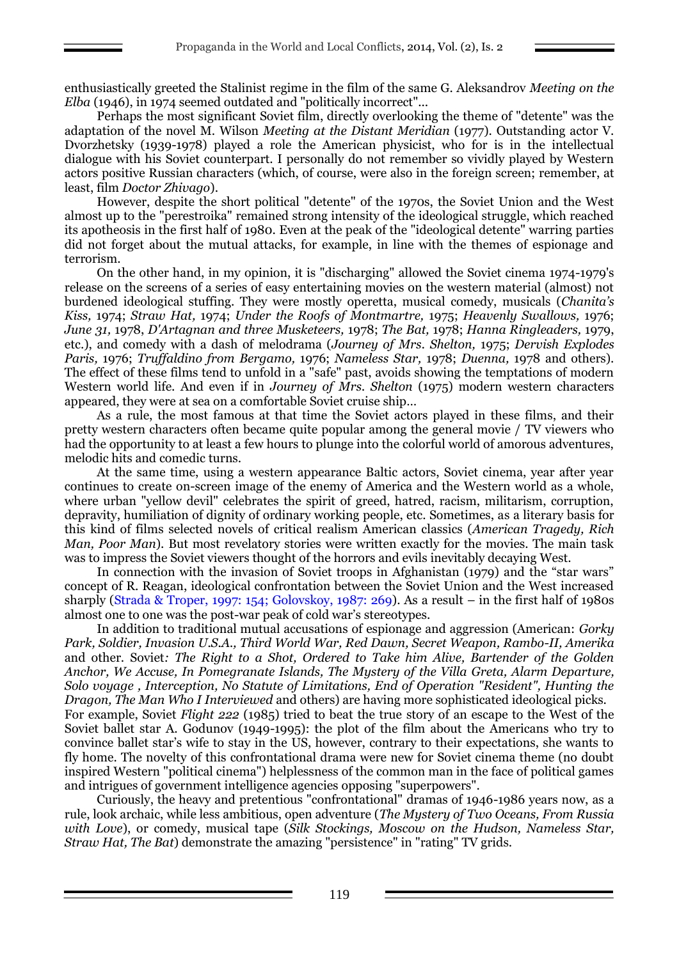enthusiastically greeted the Stalinist regime in the film of the same G. Aleksandrov *Meeting on the Elba* (1946), in 1974 seemed outdated and "politically incorrect"...

Perhaps the most significant Soviet film, directly overlooking the theme of "detente" was the adaptation of the novel M. Wilson *Meeting at the Distant Meridian* (1977). Outstanding actor V. Dvorzhetsky (1939-1978) played a role the American physicist, who for is in the intellectual dialogue with his Soviet counterpart. I personally do not remember so vividly played by Western actors positive Russian characters (which, of course, were also in the foreign screen; remember, at least, film *Doctor Zhivago*).

However, despite the short political "detente" of the 1970s, the Soviet Union and the West almost up to the "perestroika" remained strong intensity of the ideological struggle, which reached its apotheosis in the first half of 1980. Even at the peak of the "ideological detente" warring parties did not forget about the mutual attacks, for example, in line with the themes of espionage and terrorism.

On the other hand, in my opinion, it is "discharging" allowed the Soviet cinema 1974-1979's release on the screens of a series of easy entertaining movies on the western material (almost) not burdened ideological stuffing. They were mostly operetta, musical comedy, musicals (*Chanita's Kiss,* 1974; *Straw Hat,* 1974; *Under the Roofs of Montmartre,* 1975; *Heavenly Swallows,* 1976; *June 31,* 1978, *D'Artagnan and three Musketeers,* 1978; *The Bat,* 1978; *Hanna Ringleaders,* 1979, etc.), and comedy with a dash of melodrama (*Journey of Mrs. Shelton,* 1975; *Dervish Explodes Paris,* 1976; *Truffaldino from Bergamo,* 1976; *Nameless Star,* 1978; *Duenna,* 1978 and others). The effect of these films tend to unfold in a "safe" past, avoids showing the temptations of modern Western world life. And even if in *Journey of Mrs. Shelton* (1975) modern western characters appeared, they were at sea on a comfortable Soviet cruise ship…

As a rule, the most famous at that time the Soviet actors played in these films, and their pretty western characters often became quite popular among the general movie / TV viewers who had the opportunity to at least a few hours to plunge into the colorful world of amorous adventures, melodic hits and comedic turns.

At the same time, using a western appearance Baltic actors, Soviet cinema, year after year continues to create on-screen image of the enemy of America and the Western world as a whole, where urban "yellow devil" celebrates the spirit of greed, hatred, racism, militarism, corruption, depravity, humiliation of dignity of ordinary working people, etc. Sometimes, as a literary basis for this kind of films selected novels of critical realism American classics (*American Tragedy, Rich Man, Poor Man*). But most revelatory stories were written exactly for the movies. The main task was to impress the Soviet viewers thought of the horrors and evils inevitably decaying West.

In connection with the invasion of Soviet troops in Afghanistan (1979) and the "star wars" concept of R. Reagan, ideological confrontation between the Soviet Union and the West increased sharply (Strada & Troper, 1997: 154; Golovskoy, 1987: 269). As a result – in the first half of 1980s almost one to one was the post-war peak of cold war's stereotypes.

In addition to traditional mutual accusations of espionage and aggression (American: *Gorky Park, Soldier, Invasion U.S.A., Third World War, Red Dawn, Secret Weapon, Rambo-II, Amerika*  and other. Soviet*: The Right to a Shot, Ordered to Take him Alive, Bartender of the Golden Anchor, We Accuse, In Pomegranate Islands, The Mystery of the Villa Greta, Alarm Departure, Solo voyage , Interception, No Statute of Limitations, End of Operation "Resident", Hunting the Dragon, The Man Who I Interviewed* and others) are having more sophisticated ideological picks. For example, Soviet *Flight 222* (1985) tried to beat the true story of an escape to the West of the

Soviet ballet star A. Godunov (1949-1995): the plot of the film about the Americans who try to convince ballet star's wife to stay in the US, however, contrary to their expectations, she wants to fly home. The novelty of this confrontational drama were new for Soviet cinema theme (no doubt inspired Western "political cinema") helplessness of the common man in the face of political games and intrigues of government intelligence agencies opposing "superpowers".

Curiously, the heavy and pretentious "confrontational" dramas of 1946-1986 years now, as a rule, look archaic, while less ambitious, open adventure (*The Mystery of Two Oceans, From Russia with Love*), or comedy, musical tape (*Silk Stockings, Moscow on the Hudson, Nameless Star, Straw Hat, The Bat*) demonstrate the amazing "persistence" in "rating" TV grids.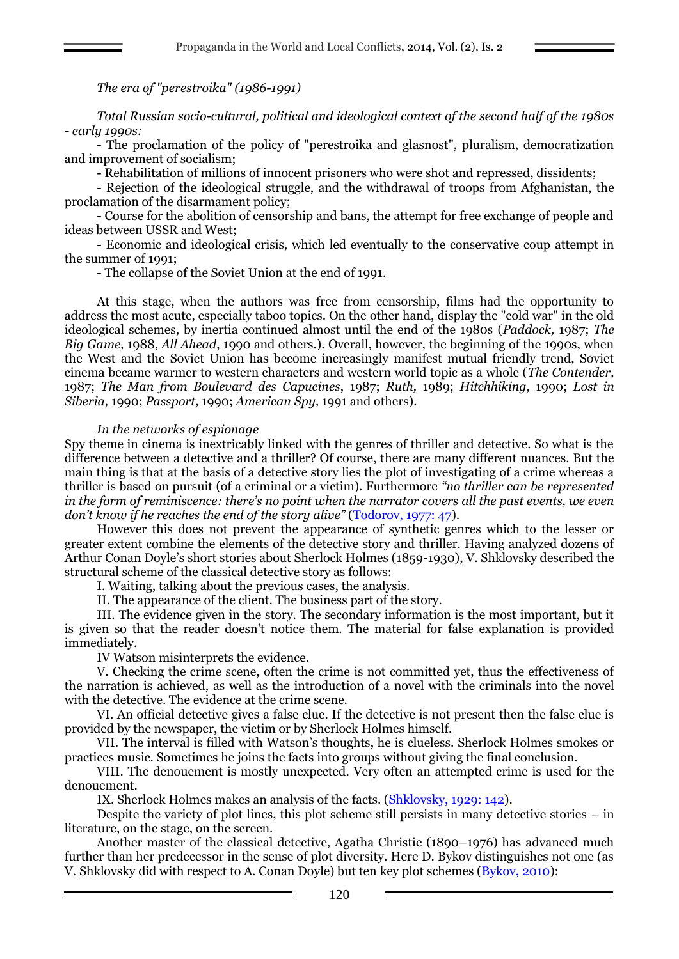# *The era of "perestroika" (1986-1991)*

*Total Russian socio-cultural, political and ideological context of the second half of the 1980s - early 1990s:*

- The proclamation of the policy of "perestroika and glasnost", pluralism, democratization and improvement of socialism;

- Rehabilitation of millions of innocent prisoners who were shot and repressed, dissidents;

- Rejection of the ideological struggle, and the withdrawal of troops from Afghanistan, the proclamation of the disarmament policy;

- Course for the abolition of censorship and bans, the attempt for free exchange of people and ideas between USSR and West;

- Economic and ideological crisis, which led eventually to the conservative coup attempt in the summer of 1991;

- The collapse of the Soviet Union at the end of 1991.

At this stage, when the authors was free from censorship, films had the opportunity to address the most acute, especially taboo topics. On the other hand, display the "cold war" in the old ideological schemes, by inertia continued almost until the end of the 1980s (*Paddock,* 1987; *The Big Game,* 1988, *All Ahead*, 1990 and others.). Overall, however, the beginning of the 1990s, when the West and the Soviet Union has become increasingly manifest mutual friendly trend, Soviet cinema became warmer to western characters and western world topic as a whole (*The Contender,* 1987; *The Man from Boulevard des Capucines*, 1987; *Ruth,* 1989; *Hitchhiking,* 1990; *Lost in Siberia,* 1990; *Passport,* 1990; *American Spy,* 1991 and others).

## *In the networks of espionage*

Spy theme in cinema is inextricably linked with the genres of thriller and detective. So what is the difference between a detective and a thriller? Of course, there are many different nuances. But the main thing is that at the basis of a detective story lies the plot of investigating of a crime whereas a thriller is based on pursuit (of a criminal or a victim). Furthermore *"no thriller can be represented in the form of reminiscence: there's no point when the narrator covers all the past events, we even don't know if he reaches the end of the story alive"* (Todorov, 1977: 47).

However this does not prevent the appearance of synthetic genres which to the lesser or greater extent combine the elements of the detective story and thriller. Having analyzed dozens of Arthur Conan Doyle's short stories about Sherlock Holmes (1859-1930), V. Shklovsky described the structural scheme of the classical detective story as follows:

I. Waiting, talking about the previous cases, the analysis.

II. The appearance of the client. The business part of the story.

III. The evidence given in the story. The secondary information is the most important, but it is given so that the reader doesn't notice them. The material for false explanation is provided immediately.

IV Watson misinterprets the evidence.

V. Checking the crime scene, often the crime is not committed yet, thus the effectiveness of the narration is achieved, as well as the introduction of a novel with the criminals into the novel with the detective. The evidence at the crime scene.

VI. An official detective gives a false clue. If the detective is not present then the false clue is provided by the newspaper, the victim or by Sherlock Holmes himself.

VII. The interval is filled with Watson's thoughts, he is clueless. Sherlock Holmes smokes or practices music. Sometimes he joins the facts into groups without giving the final conclusion.

VIII. The denouement is mostly unexpected. Very often an attempted crime is used for the denouement.

IX. Sherlock Holmes makes an analysis of the facts. (Shklovsky, 1929: 142).

Despite the variety of plot lines, this plot scheme still persists in many detective stories – in literature, on the stage, on the screen.

Another master of the classical detective, Agatha Christie (1890–1976) has advanced much further than her predecessor in the sense of plot diversity. Here D. Bykov distinguishes not one (as V. Shklovsky did with respect to A. Conan Doyle) but ten key plot schemes (Bykov, 2010):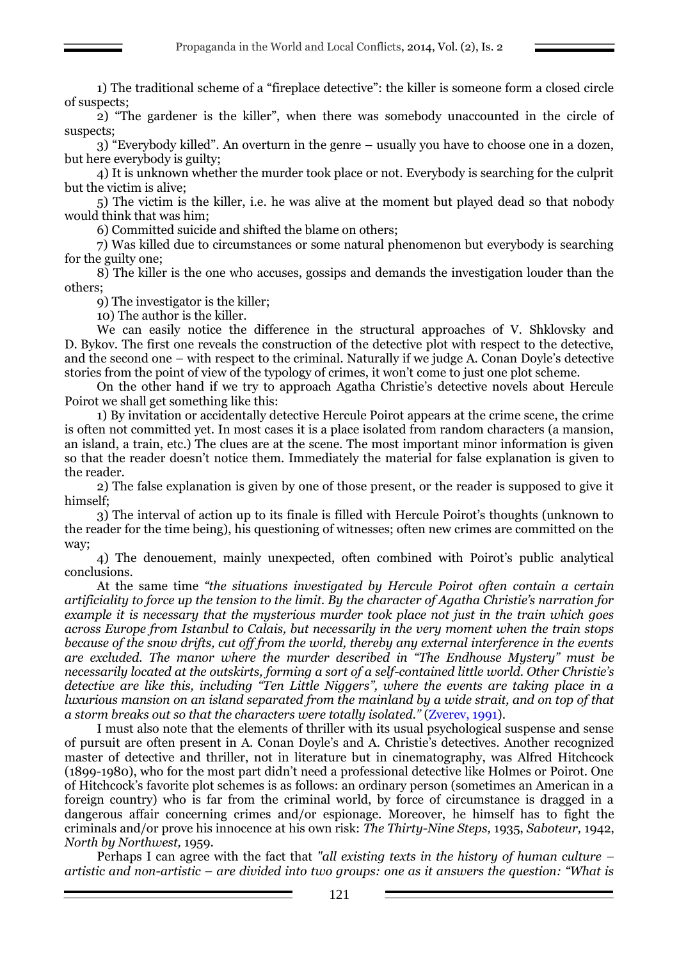1) The traditional scheme of a "fireplace detective": the killer is someone form a closed circle of suspects;

2) "The gardener is the killer", when there was somebody unaccounted in the circle of suspects;

3) "Everybody killed". An overturn in the genre – usually you have to choose one in a dozen, but here everybody is guilty;

4) It is unknown whether the murder took place or not. Everybody is searching for the culprit but the victim is alive;

5) The victim is the killer, i.e. he was alive at the moment but played dead so that nobody would think that was him;

6) Committed suicide and shifted the blame on others;

7) Was killed due to circumstances or some natural phenomenon but everybody is searching for the guilty one;

8) The killer is the one who accuses, gossips and demands the investigation louder than the others;

9) The investigator is the killer;

10) The author is the killer.

We can easily notice the difference in the structural approaches of V. Shklovsky and D. Bykov. The first one reveals the construction of the detective plot with respect to the detective, and the second one – with respect to the criminal. Naturally if we judge A. Conan Doyle's detective stories from the point of view of the typology of crimes, it won't come to just one plot scheme.

On the other hand if we try to approach Agatha Christie's detective novels about Hercule Poirot we shall get something like this:

1) By invitation or accidentally detective Hercule Poirot appears at the crime scene, the crime is often not committed yet. In most cases it is a place isolated from random characters (a mansion, an island, a train, etc.) The clues are at the scene. The most important minor information is given so that the reader doesn't notice them. Immediately the material for false explanation is given to the reader.

2) The false explanation is given by one of those present, or the reader is supposed to give it himself;

3) The interval of action up to its finale is filled with Hercule Poirot's thoughts (unknown to the reader for the time being), his questioning of witnesses; often new crimes are committed on the way;

4) The denouement, mainly unexpected, often combined with Poirot's public analytical conclusions.

At the same time *"the situations investigated by Hercule Poirot often contain a certain artificiality to force up the tension to the limit. By the character of Agatha Christie's narration for example it is necessary that the mysterious murder took place not just in the train which goes across Europe from Istanbul to Calais, but necessarily in the very moment when the train stops because of the snow drifts, cut off from the world, thereby any external interference in the events are excluded. The manor where the murder described in "The Endhouse Mystery" must be necessarily located at the outskirts, forming a sort of a self-contained little world. Other Christie's detective are like this, including "Ten Little Niggers", where the events are taking place in a luxurious mansion on an island separated from the mainland by a wide strait, and on top of that a storm breaks out so that the characters were totally isolated."* (Zverev, 1991).

I must also note that the elements of thriller with its usual psychological suspense and sense of pursuit are often present in A. Conan Doyle's and A. Christie's detectives. Another recognized master of detective and thriller, not in literature but in cinematography, was Alfred Hitchcock (1899-1980), who for the most part didn't need a professional detective like Holmes or Poirot. One of Hitchcock's favorite plot schemes is as follows: an ordinary person (sometimes an American in a foreign country) who is far from the criminal world, by force of circumstance is dragged in a dangerous affair concerning crimes and/or espionage. Moreover, he himself has to fight the criminals and/or prove his innocence at his own risk: *The Thirty-Nine Steps,* 1935, *Saboteur,* 1942, *North by Northwest,* 1959.

Perhaps I can agree with the fact that *"all existing texts in the history of human culture – artistic and non-artistic – are divided into two groups: one as it answers the question: "What is*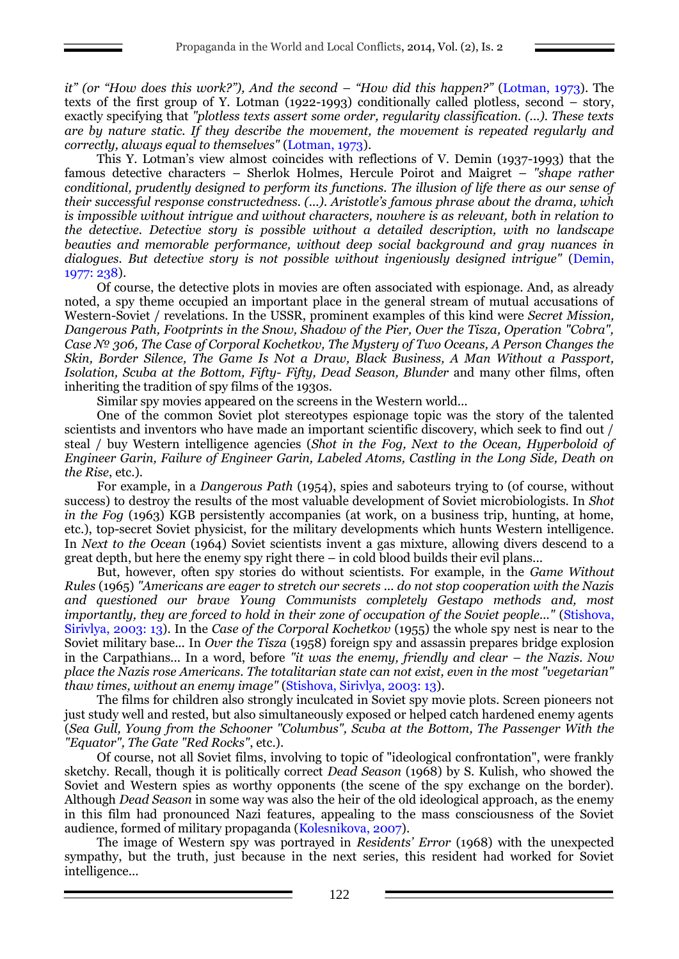*it" (or "How does this work?"), And the second – "How did this happen?"* (Lotman, 1973). The texts of the first group of Y. Lotman (1922-1993) conditionally called plotless, second – story, exactly specifying that *"plotless texts assert some order, regularity classification. (...). These texts are by nature static. If they describe the movement, the movement is repeated regularly and correctly, always equal to themselves"* (Lotman, 1973).

This Y. Lotman's view almost coincides with reflections of V. Demin (1937-1993) that the famous detective characters – Sherlok Holmes, Hercule Poirot and Maigret – *"shape rather conditional, prudently designed to perform its functions. The illusion of life there as our sense of their successful response constructedness. (...). Aristotle's famous phrase about the drama, which is impossible without intrigue and without characters, nowhere is as relevant, both in relation to the detective. Detective story is possible without a detailed description, with no landscape beauties and memorable performance, without deep social background and gray nuances in dialogues. But detective story is not possible without ingeniously designed intrigue"* (Demin, 1977: 238).

Of course, the detective plots in movies are often associated with espionage. And, as already noted, a spy theme occupied an important place in the general stream of mutual accusations of Western-Soviet / revelations. In the USSR, prominent examples of this kind were *Secret Mission, Dangerous Path, Footprints in the Snow, Shadow of the Pier, Over the Tisza, Operation "Cobra", Case № 306, The Case of Corporal Kochetkov, The Mystery of Two Oceans, A Person Changes the Skin, Border Silence, The Game Is Not a Draw, Black Business, A Man Without a Passport, Isolation, Scuba at the Bottom, Fifty- Fifty, Dead Season, Blunder* and many other films, often inheriting the tradition of spy films of the 1930s.

Similar spy movies appeared on the screens in the Western world...

One of the common Soviet plot stereotypes espionage topic was the story of the talented scientists and inventors who have made an important scientific discovery, which seek to find out / steal / buy Western intelligence agencies (*Shot in the Fog, Next to the Ocean, Hyperboloid of Engineer Garin, Failure of Engineer Garin, Labeled Atoms, Castling in the Long Side, Death on the Rise*, etc.).

For example, in a *Dangerous Path* (1954), spies and saboteurs trying to (of course, without success) to destroy the results of the most valuable development of Soviet microbiologists. In *Shot in the Fog* (1963) KGB persistently accompanies (at work, on a business trip, hunting, at home, etc.), top-secret Soviet physicist, for the military developments which hunts Western intelligence. In *Next to the Ocean* (1964) Soviet scientists invent a gas mixture, allowing divers descend to a great depth, but here the enemy spy right there – in cold blood builds their evil plans...

But, however, often spy stories do without scientists. For example, in the *Game Without Rules* (1965) *"Americans are eager to stretch our secrets ... do not stop cooperation with the Nazis and questioned our brave Young Communists completely Gestapo methods and, most importantly, they are forced to hold in their zone of occupation of the Soviet people..."* (Stishova, Sirivlya, 2003: 13). In the *Case of the Corporal Kochetkov* (1955) the whole spy nest is near to the Soviet military base... In *Over the Tisza* (1958) foreign spy and assassin prepares bridge explosion in the Carpathians... In a word, before "it was the enemy, friendly and clear – the Nazis. Now *place the Nazis rose Americans. The totalitarian state can not exist, even in the most "vegetarian" thaw times, without an enemy image"* (Stishova, Sirivlya, 2003: 13).

The films for children also strongly inculcated in Soviet spy movie plots. Screen pioneers not just study well and rested, but also simultaneously exposed or helped catch hardened enemy agents (*Sea Gull, Young from the Schooner "Columbus", Scuba at the Bottom, The Passenger With the "Equator", The Gate "Red Rocks"*, etc.).

Of course, not all Soviet films, involving to topic of "ideological confrontation", were frankly sketchy. Recall, though it is politically correct *Dead Season* (1968) by S. Kulish, who showed the Soviet and Western spies as worthy opponents (the scene of the spy exchange on the border). Although *Dead Season* in some way was also the heir of the old ideological approach, as the enemy in this film had pronounced Nazi features, appealing to the mass consciousness of the Soviet audience, formed of military propaganda (Kolesnikova, 2007).

The image of Western spy was portrayed in *Residents' Error* (1968) with the unexpected sympathy, but the truth, just because in the next series, this resident had worked for Soviet intelligence...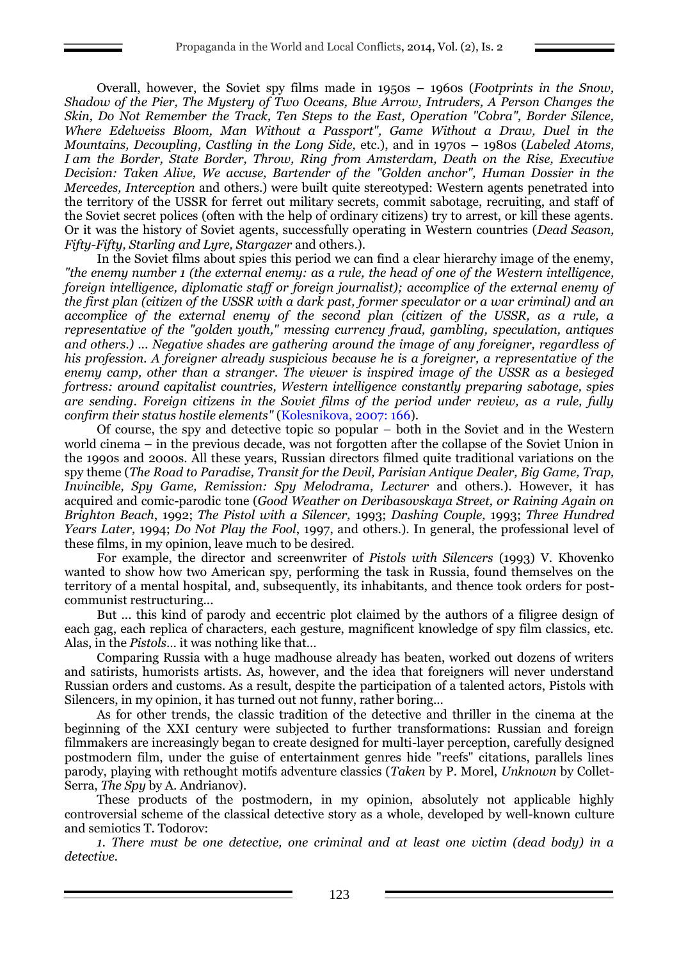Overall, however, the Soviet spy films made in 1950s – 1960s (*Footprints in the Snow, Shadow of the Pier, The Mystery of Two Oceans, Blue Arrow, Intruders, A Person Changes the Skin, Do Not Remember the Track, Ten Steps to the East, Operation "Cobra", Border Silence, Where Edelweiss Bloom, Man Without a Passport", Game Without a Draw, Duel in the Mountains, Decoupling, Castling in the Long Side,* etc.), and in 1970s – 1980s (*Labeled Atoms, I am the Border, State Border, Throw, Ring from Amsterdam, Death on the Rise, Executive Decision: Taken Alive, We accuse, Bartender of the "Golden anchor", Human Dossier in the Mercedes, Interception* and others.) were built quite stereotyped: Western agents penetrated into the territory of the USSR for ferret out military secrets, commit sabotage, recruiting, and staff of the Soviet secret polices (often with the help of ordinary citizens) try to arrest, or kill these agents. Or it was the history of Soviet agents, successfully operating in Western countries (*Dead Season, Fifty-Fifty, Starling and Lyre, Stargazer* and others.).

In the Soviet films about spies this period we can find a clear hierarchy image of the enemy, *"the enemy number 1 (the external enemy: as a rule, the head of one of the Western intelligence, foreign intelligence, diplomatic staff or foreign journalist); accomplice of the external enemy of the first plan (citizen of the USSR with a dark past, former speculator or a war criminal) and an accomplice of the external enemy of the second plan (citizen of the USSR, as a rule, a representative of the "golden youth," messing currency fraud, gambling, speculation, antiques and others.) ... Negative shades are gathering around the image of any foreigner, regardless of his profession. A foreigner already suspicious because he is a foreigner, a representative of the enemy camp, other than a stranger. The viewer is inspired image of the USSR as a besieged fortress: around capitalist countries, Western intelligence constantly preparing sabotage, spies are sending. Foreign citizens in the Soviet films of the period under review, as a rule, fully confirm their status hostile elements"* (Kolesnikova, 2007: 166).

Of course, the spy and detective topic so popular – both in the Soviet and in the Western world cinema – in the previous decade, was not forgotten after the collapse of the Soviet Union in the 1990s and 2000s. All these years, Russian directors filmed quite traditional variations on the spy theme (*The Road to Paradise, Transit for the Devil, Parisian Antique Dealer, Big Game, Trap, Invincible, Spy Game, Remission: Spy Melodrama, Lecturer* and others.). However, it has acquired and comic-parodic tone (*Good Weather on Deribasovskaya Street, or Raining Again on Brighton Beach*, 1992; *The Pistol with a Silencer,* 1993; *Dashing Couple,* 1993; *Three Hundred Years Later,* 1994; *Do Not Play the Fool*, 1997, and others.). In general, the professional level of these films, in my opinion, leave much to be desired.

For example, the director and screenwriter of *Pistols with Silencers* (1993) V. Khovenko wanted to show how two American spy, performing the task in Russia, found themselves on the territory of a mental hospital, and, subsequently, its inhabitants, and thence took orders for postcommunist restructuring...

But ... this kind of parody and eccentric plot claimed by the authors of a filigree design of each gag, each replica of characters, each gesture, magnificent knowledge of spy film classics, etc. Alas, in the *Pistols*… it was nothing like that…

Comparing Russia with a huge madhouse already has beaten, worked out dozens of writers and satirists, humorists artists. As, however, and the idea that foreigners will never understand Russian orders and customs. As a result, despite the participation of a talented actors, Pistols with Silencers, in my opinion, it has turned out not funny, rather boring...

As for other trends, the classic tradition of the detective and thriller in the cinema at the beginning of the XXI century were subjected to further transformations: Russian and foreign filmmakers are increasingly began to create designed for multi-layer perception, carefully designed postmodern film, under the guise of entertainment genres hide "reefs" citations, parallels lines parody, playing with rethought motifs adventure classics (*Taken* by P. Morel, *Unknown* by Collet-Serra, *The Spy* by A. Andrianov).

These products of the postmodern, in my opinion, absolutely not applicable highly controversial scheme of the classical detective story as a whole, developed by well-known culture and semiotics T. Todorov:

*1. There must be one detective, one criminal and at least one victim (dead body) in a detective.*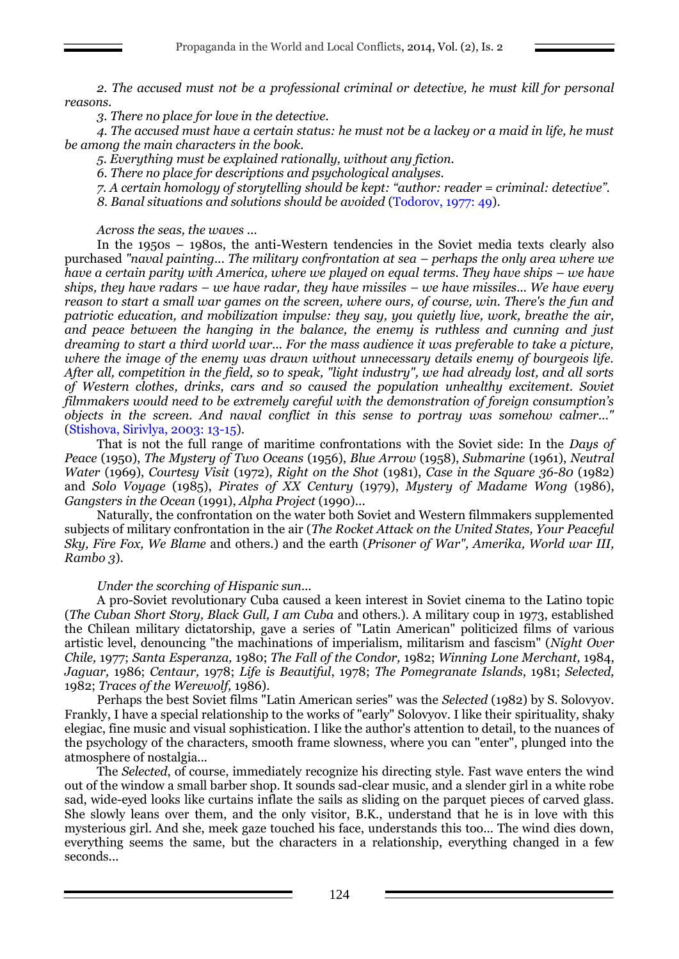*2. The accused must not be a professional criminal or detective, he must kill for personal reasons.*

*3. There no place for love in the detective.*

*4. The accused must have a certain status: he must not be a lackey or a maid in life, he must be among the main characters in the book.*

*5. Everything must be explained rationally, without any fiction.*

*6. There no place for descriptions and psychological analyses.*

*7. A certain homology of storytelling should be kept: "author: reader = criminal: detective".*

*8. Banal situations and solutions should be avoided* (Todorov, 1977: 49).

*Across the seas, the waves ...*

In the 1950s – 1980s, the anti-Western tendencies in the Soviet media texts clearly also purchased *"naval painting... The military confrontation at sea – perhaps the only area where we have a certain parity with America, where we played on equal terms. They have ships – we have ships, they have radars – we have radar, they have missiles – we have missiles... We have every reason to start a small war games on the screen, where ours, of course, win. There's the fun and patriotic education, and mobilization impulse: they say, you quietly live, work, breathe the air, and peace between the hanging in the balance, the enemy is ruthless and cunning and just dreaming to start a third world war... For the mass audience it was preferable to take a picture, where the image of the enemy was drawn without unnecessary details enemy of bourgeois life. After all, competition in the field, so to speak, "light industry", we had already lost, and all sorts of Western clothes, drinks, cars and so caused the population unhealthy excitement. Soviet filmmakers would need to be extremely careful with the demonstration of foreign consumption's objects in the screen. And naval conflict in this sense to portray was somehow calmer..."*  (Stishova, Sirivlya, 2003: 13-15).

That is not the full range of maritime confrontations with the Soviet side: In the *Days of Peace* (1950), *The Mystery of Two Oceans* (1956), *Blue Arrow* (1958), *Submarine* (1961), *Neutral Water* (1969), *Courtesy Visit* (1972), *Right on the Shot* (1981), *Case in the Square 36-80* (1982) and *Solo Voyage* (1985), *Pirates of XX Century* (1979), *Mystery of Madame Wong* (1986), *Gangsters in the Ocean* (1991), *Alpha Project* (1990)...

Naturally, the confrontation on the water both Soviet and Western filmmakers supplemented subjects of military confrontation in the air (*The Rocket Attack on the United States, Your Peaceful Sky, Fire Fox, We Blame* and others.) and the earth (*Prisoner of War", Amerika, World war III, Rambo 3*).

#### *Under the scorching of Hispanic sun...*

A pro-Soviet revolutionary Cuba caused a keen interest in Soviet cinema to the Latino topic (*The Cuban Short Story, Black Gull, I am Cuba* and others.). A military coup in 1973, established the Chilean military dictatorship, gave a series of "Latin American" politicized films of various artistic level, denouncing "the machinations of imperialism, militarism and fascism" (*Night Over Chile,* 1977; *Santa Esperanza,* 1980; *The Fall of the Condor,* 1982; *Winning Lone Merchant,* 1984, *Jaguar,* 1986; *Centaur,* 1978; *Life is Beautiful*, 1978; *The Pomegranate Islands*, 1981; *Selected,* 1982; *Traces of the Werewolf,* 1986).

Perhaps the best Soviet films "Latin American series" was the *Selected* (1982) by S. Solovyov. Frankly, I have a special relationship to the works of "early" Solovyov. I like their spirituality, shaky elegiac, fine music and visual sophistication. I like the author's attention to detail, to the nuances of the psychology of the characters, smooth frame slowness, where you can "enter", plunged into the atmosphere of nostalgia...

The *Selected*, of course, immediately recognize his directing style. Fast wave enters the wind out of the window a small barber shop. It sounds sad-clear music, and a slender girl in a white robe sad, wide-eyed looks like curtains inflate the sails as sliding on the parquet pieces of carved glass. She slowly leans over them, and the only visitor, B.K., understand that he is in love with this mysterious girl. And she, meek gaze touched his face, understands this too... The wind dies down, everything seems the same, but the characters in a relationship, everything changed in a few seconds...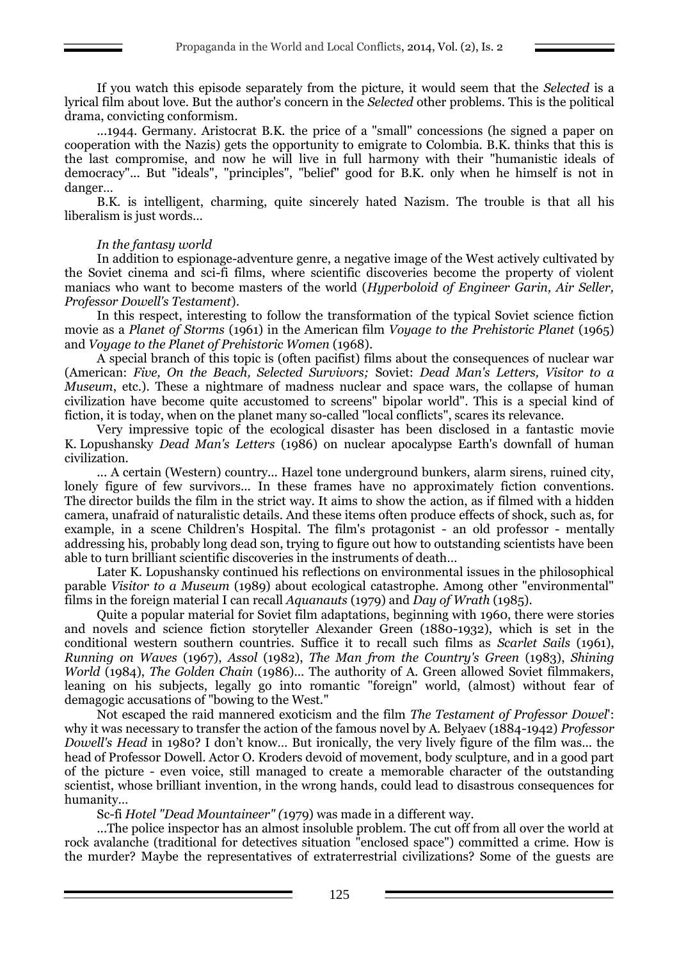If you watch this episode separately from the picture, it would seem that the *Selected* is a lyrical film about love. But the author's concern in the *Selected* other problems. This is the political drama, convicting conformism.

...1944. Germany. Aristocrat B.K. the price of a "small" concessions (he signed a paper on cooperation with the Nazis) gets the opportunity to emigrate to Colombia. B.K. thinks that this is the last compromise, and now he will live in full harmony with their "humanistic ideals of democracy"... But "ideals", "principles", "belief" good for B.K. only when he himself is not in danger…

B.K. is intelligent, charming, quite sincerely hated Nazism. The trouble is that all his liberalism is just words…

## *In the fantasy world*

In addition to espionage-adventure genre, a negative image of the West actively cultivated by the Soviet cinema and sci-fi films, where scientific discoveries become the property of violent maniacs who want to become masters of the world (*Hyperboloid of Engineer Garin, Air Seller, Professor Dowell's Testament*).

In this respect, interesting to follow the transformation of the typical Soviet science fiction movie as a *Planet of Storms* (1961) in the American film *Voyage to the Prehistoric Planet* (1965) and *Voyage to the Planet of Prehistoric Women* (1968).

A special branch of this topic is (often pacifist) films about the consequences of nuclear war (American: *Five, On the Beach, Selected Survivors;* Soviet: *Dead Man's Letters, Visitor to a Museum*, etc.). These a nightmare of madness nuclear and space wars, the collapse of human civilization have become quite accustomed to screens" bipolar world". This is a special kind of fiction, it is today, when on the planet many so-called "local conflicts", scares its relevance.

Very impressive topic of the ecological disaster has been disclosed in a fantastic movie K. Lopushansky *Dead Man's Letters* (1986) on nuclear apocalypse Earth's downfall of human civilization.

... A certain (Western) country... Hazel tone underground bunkers, alarm sirens, ruined city, lonely figure of few survivors... In these frames have no approximately fiction conventions. The director builds the film in the strict way. It aims to show the action, as if filmed with a hidden camera, unafraid of naturalistic details. And these items often produce effects of shock, such as, for example, in a scene Children's Hospital. The film's protagonist - an old professor - mentally addressing his, probably long dead son, trying to figure out how to outstanding scientists have been able to turn brilliant scientific discoveries in the instruments of death…

Later K. Lopushansky continued his reflections on environmental issues in the philosophical parable *Visitor to a Museum* (1989) about ecological catastrophe. Among other "environmental" films in the foreign material I can recall *Aquanauts* (1979) and *Day of Wrath* (1985).

Quite a popular material for Soviet film adaptations, beginning with 1960, there were stories and novels and science fiction storyteller Alexander Green (1880-1932), which is set in the conditional western southern countries. Suffice it to recall such films as *Scarlet Sails* (1961), *Running on Waves* (1967), *Assol* (1982), *The Man from the Country's Green* (1983), *Shining World* (1984), *The Golden Chain* (1986)... The authority of A. Green allowed Soviet filmmakers, leaning on his subjects, legally go into romantic "foreign" world, (almost) without fear of demagogic accusations of "bowing to the West."

Not escaped the raid mannered exoticism and the film *The Testament of Professor Dowel*': why it was necessary to transfer the action of the famous novel by A. Belyaev (1884-1942) *Professor Dowell's Head* in 1980? I don't know… But ironically, the very lively figure of the film was... the head of Professor Dowell. Actor O. Kroders devoid of movement, body sculpture, and in a good part of the picture - even voice, still managed to create a memorable character of the outstanding scientist, whose brilliant invention, in the wrong hands, could lead to disastrous consequences for humanity…

Sc-fi *Hotel "Dead Mountaineer" (*1979) was made in a different way.

...The police inspector has an almost insoluble problem. The cut off from all over the world at rock avalanche (traditional for detectives situation "enclosed space") committed a crime. How is the murder? Maybe the representatives of extraterrestrial civilizations? Some of the guests are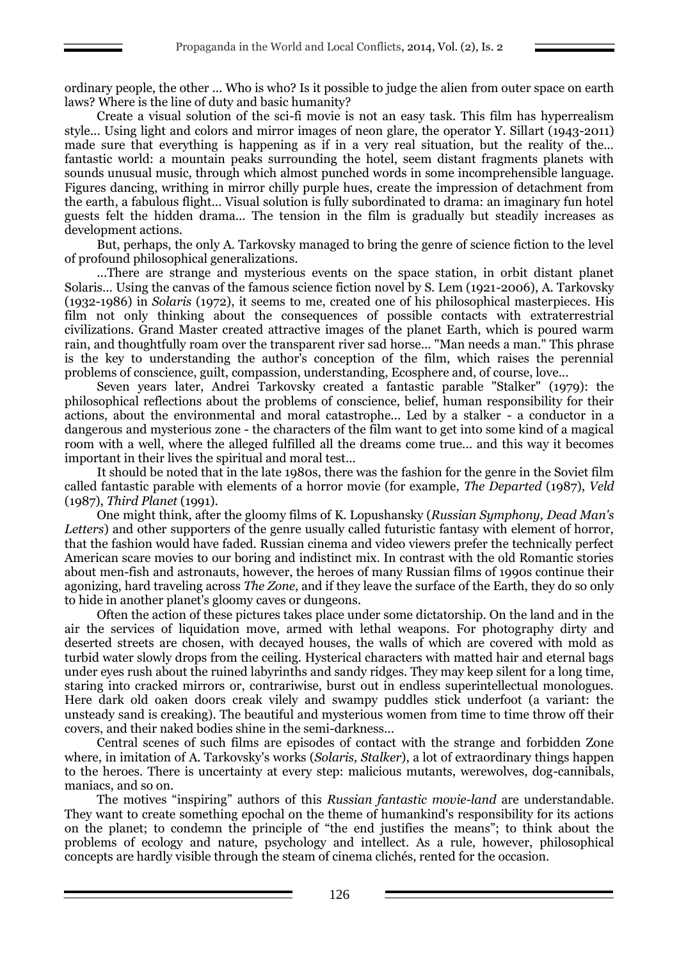ordinary people, the other ... Who is who? Is it possible to judge the alien from outer space on earth laws? Where is the line of duty and basic humanity?

Create a visual solution of the sci-fi movie is not an easy task. This film has hyperrealism style... Using light and colors and mirror images of neon glare, the operator Y. Sillart (1943-2011) made sure that everything is happening as if in a very real situation, but the reality of the… fantastic world: a mountain peaks surrounding the hotel, seem distant fragments planets with sounds unusual music, through which almost punched words in some incomprehensible language. Figures dancing, writhing in mirror chilly purple hues, create the impression of detachment from the earth, a fabulous flight... Visual solution is fully subordinated to drama: an imaginary fun hotel guests felt the hidden drama... The tension in the film is gradually but steadily increases as development actions.

But, perhaps, the only A. Tarkovsky managed to bring the genre of science fiction to the level of profound philosophical generalizations.

...There are strange and mysterious events on the space station, in orbit distant planet Solaris… Using the canvas of the famous science fiction novel by S. Lem (1921-2006), A. Tarkovsky (1932-1986) in *Solaris* (1972), it seems to me, created one of his philosophical masterpieces. His film not only thinking about the consequences of possible contacts with extraterrestrial civilizations. Grand Master created attractive images of the planet Earth, which is poured warm rain, and thoughtfully roam over the transparent river sad horse... "Man needs a man." This phrase is the key to understanding the author's conception of the film, which raises the perennial problems of conscience, guilt, compassion, understanding, Ecosphere and, of course, love...

Seven years later, Andrei Tarkovsky created a fantastic parable "Stalker" (1979): the philosophical reflections about the problems of conscience, belief, human responsibility for their actions, about the environmental and moral catastrophe... Led by a stalker - a conductor in a dangerous and mysterious zone - the characters of the film want to get into some kind of a magical room with a well, where the alleged fulfilled all the dreams come true... and this way it becomes important in their lives the spiritual and moral test...

It should be noted that in the late 1980s, there was the fashion for the genre in the Soviet film called fantastic parable with elements of a horror movie (for example, *The Departed* (1987), *Veld*  (1987), *Third Planet* (1991).

One might think, after the gloomy films of K. Lopushansky (*Russian Symphony, Dead Man's Letters*) and other supporters of the genre usually called futuristic fantasy with element of horror, that the fashion would have faded. Russian cinema and video viewers prefer the technically perfect American scare movies to our boring and indistinct mix. In contrast with the old Romantic stories about men-fish and astronauts, however, the heroes of many Russian films of 1990s continue their agonizing, hard traveling across *The Zone*, and if they leave the surface of the Earth, they do so only to hide in another planet's gloomy caves or dungeons.

Often the action of these pictures takes place under some dictatorship. On the land and in the air the services of liquidation move, armed with lethal weapons. For photography dirty and deserted streets are chosen, with decayed houses, the walls of which are covered with mold as turbid water slowly drops from the ceiling. Hysterical characters with matted hair and eternal bags under eyes rush about the ruined labyrinths and sandy ridges. They may keep silent for a long time, staring into cracked mirrors or, contrariwise, burst out in endless superintellectual monologues. Here dark old oaken doors creak vilely and swampy puddles stick underfoot (a variant: the unsteady sand is creaking). The beautiful and mysterious women from time to time throw off their covers, and their naked bodies shine in the semi-darkness...

Central scenes of such films are episodes of contact with the strange and forbidden Zone where, in imitation of A. Tarkovsky's works (*Solaris, Stalker*), a lot of extraordinary things happen to the heroes. There is uncertainty at every step: malicious mutants, werewolves, dog-cannibals, maniacs, and so on.

The motives "inspiring" authors of this *Russian fantastic movie-land* are understandable. They want to create something epochal on the theme of humankind's responsibility for its actions on the planet; to condemn the principle of "the end justifies the means"; to think about the problems of ecology and nature, psychology and intellect. As a rule, however, philosophical concepts are hardly visible through the steam of cinema clichés, rented for the occasion.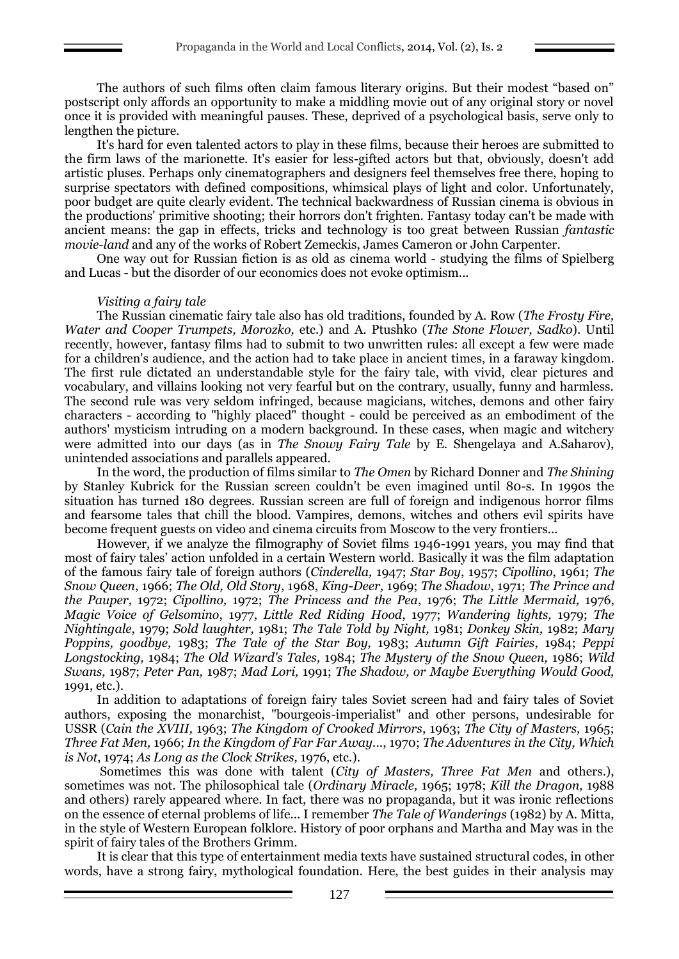The authors of such films often claim famous literary origins. But their modest "based on" postscript only affords an opportunity to make a middling movie out of any original story or novel once it is provided with meaningful pauses. These, deprived of a psychological basis, serve only to lengthen the picture.

It's hard for even talented actors to play in these films, because their heroes are submitted to the firm laws of the marionette. It's easier for less-gifted actors but that, obviously, doesn't add artistic pluses. Perhaps only cinematographers and designers feel themselves free there, hoping to surprise spectators with defined compositions, whimsical plays of light and color. Unfortunately, poor budget are quite clearly evident. The technical backwardness of Russian cinema is obvious in the productions' primitive shooting; their horrors don't frighten. Fantasy today can't be made with ancient means: the gap in effects, tricks and technology is too great between Russian *fantastic movie-land* and any of the works of Robert Zemeckis, James Cameron or John Carpenter.

One way out for Russian fiction is as old as cinema world - studying the films of Spielberg and Lucas - but the disorder of our economics does not evoke optimism...

#### *Visiting a fairy tale*

The Russian cinematic fairy tale also has old traditions, founded by A. Row (*The Frosty Fire, Water and Cooper Trumpets, Morozko,* etc.) and A. Ptushko (*The Stone Flower, Sadko*). Until recently, however, fantasy films had to submit to two unwritten rules: all except a few were made for a children's audience, and the action had to take place in ancient times, in a faraway kingdom. The first rule dictated an understandable style for the fairy tale, with vivid, clear pictures and vocabulary, and villains looking not very fearful but on the contrary, usually, funny and harmless. The second rule was very seldom infringed, because magicians, witches, demons and other fairy characters - according to "highly placed" thought - could be perceived as an embodiment of the authors' mysticism intruding on a modern background. In these cases, when magic and witchery were admitted into our days (as in *The Snowy Fairy Tale* by E. Shengelaya and A.Saharov), unintended associations and parallels appeared.

In the word, the production of films similar to *The Omen* by Richard Donner and *The Shining* by Stanley Kubrick for the Russian screen couldn't be even imagined until 80-s. In 1990s the situation has turned 180 degrees. Russian screen are full of foreign and indigenous horror films and fearsome tales that chill the blood. Vampires, demons, witches and others evil spirits have become frequent guests on video and cinema circuits from Moscow to the very frontiers...

However, if we analyze the filmography of Soviet films 1946-1991 years, you may find that most of fairy tales' action unfolded in a certain Western world. Basically it was the film adaptation of the famous fairy tale of foreign authors (*Cinderella,* 1947; *Star Boy*, 1957; *Cipollino*, 1961; *The Snow Queen*, 1966; *The Old, Old Story*, 1968, *King-Deer,* 1969; *The Shadow*, 1971; *The Prince and the Pauper,* 1972; *Cipollino,* 1972; *The Princess and the Pea*, 1976; *The Little Mermaid,* 1976, *Magic Voice of Gelsomino*, 1977, *Little Red Riding Hood*, 1977; *Wandering lights,* 1979; *The Nightingale*, 1979; *Sold laughter,* 1981; *The Tale Told by Night,* 1981; *Donkey Skin,* 1982; *Mary Poppins, goodbye,* 1983; *The Tale of the Star Boy,* 1983; *Autumn Gift Fairies*, 1984; *Peppi Longstocking,* 1984; *The Old Wizard's Tales,* 1984; *The Mystery of the Snow Queen,* 1986; *Wild Swans,* 1987; *Peter Pan,* 1987; *Mad Lori,* 1991; *The Shadow, or Maybe Everything Would Good,* 1991, etc.).

In addition to adaptations of foreign fairy tales Soviet screen had and fairy tales of Soviet authors, exposing the monarchist, "bourgeois-imperialist" and other persons, undesirable for USSR (*Cain the XVIII,* 1963; *The Kingdom of Crooked Mirrors*, 1963; *The City of Masters,* 1965; *Three Fat Men,* 1966; *In the Kingdom of Far Far Away.*.., 1970; *The Adventures in the City, Which is Not*, 1974; *As Long as the Clock Strikes,* 1976, etc.).

Sometimes this was done with talent (*City of Masters, Three Fat Men* and others.), sometimes was not. The philosophical tale (*Ordinary Miracle,* 1965; 1978; *Kill the Dragon,* 1988 and others) rarely appeared where. In fact, there was no propaganda, but it was ironic reflections on the essence of eternal problems of life... I remember *The Tale of Wanderings* (1982) by A. Mitta, in the style of Western European folklore. History of poor orphans and Martha and May was in the spirit of fairy tales of the Brothers Grimm.

It is clear that this type of entertainment media texts have sustained structural codes, in other words, have a strong fairy, mythological foundation. Here, the best guides in their analysis may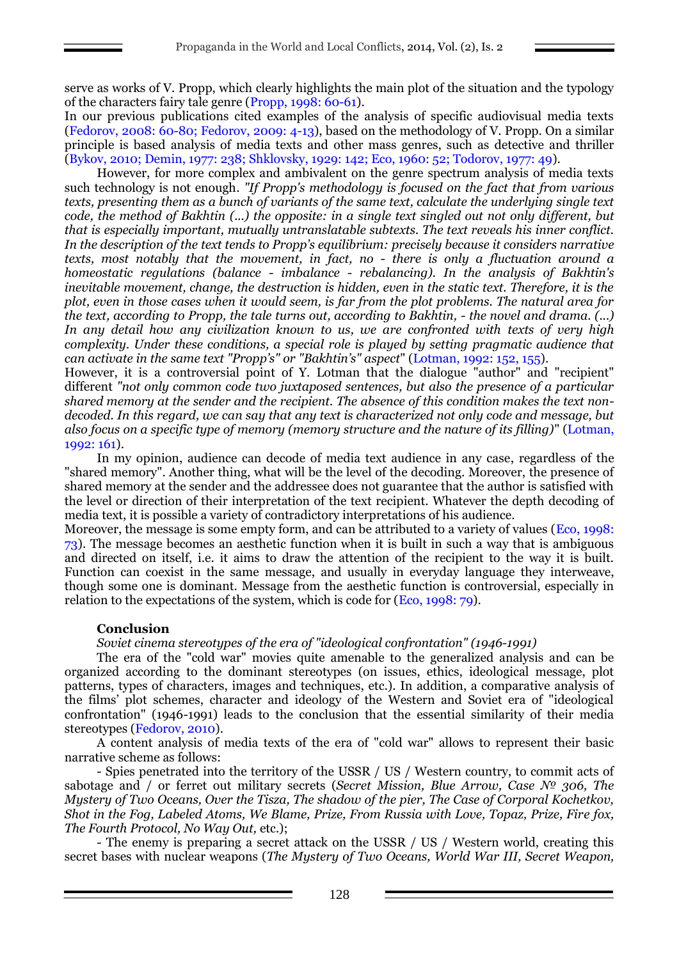serve as works of V. Propp, which clearly highlights the main plot of the situation and the typology of the characters fairy tale genre (Propp, 1998: 60-61).

In our previous publications cited examples of the analysis of specific audiovisual media texts (Fedorov, 2008: 60-80; Fedorov, 2009: 4-13), based on the methodology of V. Propp. On a similar principle is based analysis of media texts and other mass genres, such as detective and thriller (Bykov, 2010; Demin, 1977: 238; Shklovsky, 1929: 142; Eco, 1960: 52; Todorov, 1977: 49).

However, for more complex and ambivalent on the genre spectrum analysis of media texts such technology is not enough. *"If Propp's methodology is focused on the fact that from various texts, presenting them as a bunch of variants of the same text, calculate the underlying single text code, the method of Bakhtin (...) the opposite: in a single text singled out not only different, but that is especially important, mutually untranslatable subtexts. The text reveals his inner conflict. In the description of the text tends to Propp's equilibrium: precisely because it considers narrative texts, most notably that the movement, in fact, no - there is only a fluctuation around a homeostatic regulations (balance - imbalance - rebalancing). In the analysis of Bakhtin's inevitable movement, change, the destruction is hidden, even in the static text. Therefore, it is the plot, even in those cases when it would seem, is far from the plot problems. The natural area for the text, according to Propp, the tale turns out, according to Bakhtin, - the novel and drama. (...) In any detail how any civilization known to us, we are confronted with texts of very high complexity. Under these conditions, a special role is played by setting pragmatic audience that can activate in the same text "Propp's" or "Bakhtin's" aspect*" (Lotman, 1992: 152, 155).

However, it is a controversial point of Y. Lotman that the dialogue "author" and "recipient" different *"not only common code two juxtaposed sentences, but also the presence of a particular shared memory at the sender and the recipient. The absence of this condition makes the text nondecoded. In this regard, we can say that any text is characterized not only code and message, but also focus on a specific type of memory (memory structure and the nature of its filling)*" (Lotman, 1992: 161).

In my opinion, audience can decode of media text audience in any case, regardless of the "shared memory". Another thing, what will be the level of the decoding. Moreover, the presence of shared memory at the sender and the addressee does not guarantee that the author is satisfied with the level or direction of their interpretation of the text recipient. Whatever the depth decoding of media text, it is possible a variety of contradictory interpretations of his audience.

Moreover, the message is some empty form, and can be attributed to a variety of values (Eco, 1998: 73). The message becomes an aesthetic function when it is built in such a way that is ambiguous and directed on itself, i.e. it aims to draw the attention of the recipient to the way it is built. Function can coexist in the same message, and usually in everyday language they interweave, though some one is dominant. Message from the aesthetic function is controversial, especially in relation to the expectations of the system, which is code for (Eco, 1998: 79).

# **Conclusion**

*Soviet cinema stereotypes of the era of "ideological confrontation" (1946-1991)*

The era of the "cold war" movies quite amenable to the generalized analysis and can be organized according to the dominant stereotypes (on issues, ethics, ideological message, plot patterns, types of characters, images and techniques, etc.). In addition, a comparative analysis of the films' plot schemes, character and ideology of the Western and Soviet era of "ideological confrontation" (1946-1991) leads to the conclusion that the essential similarity of their media stereotypes (Fedorov, 2010).

A content analysis of media texts of the era of "cold war" allows to represent their basic narrative scheme as follows:

- Spies penetrated into the territory of the USSR / US / Western country, to commit acts of sabotage and / or ferret out military secrets (*Secret Mission, Blue Arrow, Case № 306, The Mystery of Two Oceans, Over the Tisza, The shadow of the pier, The Case of Corporal Kochetkov, Shot in the Fog, Labeled Atoms, We Blame, Prize, From Russia with Love, Topaz, Prize, Fire fox, The Fourth Protocol, No Way Out,* etc.);

- The enemy is preparing a secret attack on the USSR / US / Western world, creating this secret bases with nuclear weapons (*The Mystery of Two Oceans, World War III, Secret Weapon,*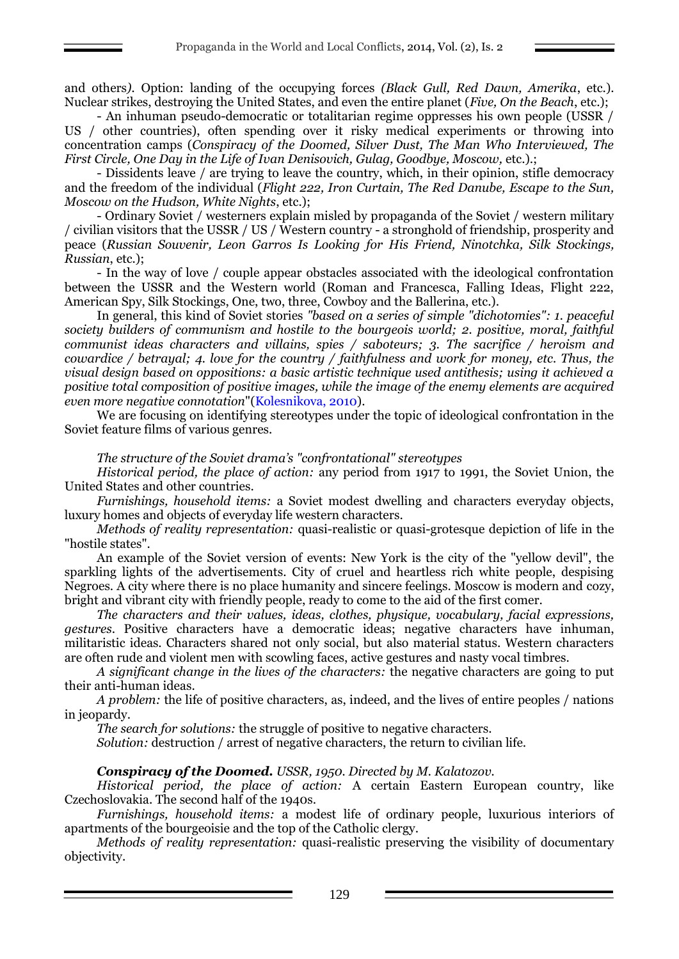and others*).* Option: landing of the occupying forces *(Black Gull, Red Dawn, Amerika*, etc.). Nuclear strikes, destroying the United States, and even the entire planet (*Five, On the Beach*, etc.);

- An inhuman pseudo-democratic or totalitarian regime oppresses his own people (USSR / US / other countries), often spending over it risky medical experiments or throwing into concentration camps (*Conspiracy of the Doomed, Silver Dust, The Man Who Interviewed, The First Circle, One Day in the Life of Ivan Denisovich, Gulag, Goodbye, Moscow,* etc.).;

- Dissidents leave / are trying to leave the country, which, in their opinion, stifle democracy and the freedom of the individual (*Flight 222, Iron Curtain, The Red Danube, Escape to the Sun, Moscow on the Hudson, White Nights*, etc.);

- Ordinary Soviet / westerners explain misled by propaganda of the Soviet / western military / civilian visitors that the USSR / US / Western country - a stronghold of friendship, prosperity and peace (*Russian Souvenir, Leon Garros Is Looking for His Friend, Ninotchka, Silk Stockings, Russian*, etc.);

- In the way of love / couple appear obstacles associated with the ideological confrontation between the USSR and the Western world (Roman and Francesca, Falling Ideas, Flight 222, American Spy, Silk Stockings, One, two, three, Cowboy and the Ballerina, etc.).

In general, this kind of Soviet stories *"based on a series of simple "dichotomies": 1. peaceful society builders of communism and hostile to the bourgeois world; 2. positive, moral, faithful communist ideas characters and villains, spies / saboteurs; 3. The sacrifice / heroism and cowardice / betrayal; 4. love for the country / faithfulness and work for money, etc. Thus, the visual design based on oppositions: a basic artistic technique used antithesis; using it achieved a positive total composition of positive images, while the image of the enemy elements are acquired even more negative connotation*"(Kolesnikova, 2010).

We are focusing on identifying stereotypes under the topic of ideological confrontation in the Soviet feature films of various genres.

*The structure of the Soviet drama's "confrontational" stereotypes* 

*Historical period, the place of action:* any period from 1917 to 1991, the Soviet Union, the United States and other countries.

*Furnishings, household items:* a Soviet modest dwelling and characters everyday objects, luxury homes and objects of everyday life western characters.

*Methods of reality representation:* quasi-realistic or quasi-grotesque depiction of life in the "hostile states".

An example of the Soviet version of events: New York is the city of the "yellow devil", the sparkling lights of the advertisements. City of cruel and heartless rich white people, despising Negroes. A city where there is no place humanity and sincere feelings. Moscow is modern and cozy, bright and vibrant city with friendly people, ready to come to the aid of the first comer.

*The characters and their values, ideas, clothes, physique, vocabulary, facial expressions, gestures*. Positive characters have a democratic ideas; negative characters have inhuman, militaristic ideas. Characters shared not only social, but also material status. Western characters are often rude and violent men with scowling faces, active gestures and nasty vocal timbres.

*A significant change in the lives of the characters:* the negative characters are going to put their anti-human ideas.

*A problem:* the life of positive characters, as, indeed, and the lives of entire peoples / nations in jeopardy.

*The search for solutions:* the struggle of positive to negative characters.

*Solution:* destruction / arrest of negative characters, the return to civilian life.

## *Conspiracy of the Doomed. USSR, 1950. Directed by M. Kalatozov.*

*Historical period, the place of action:* A certain Eastern European country, like Czechoslovakia. The second half of the 1940s.

*Furnishings, household items:* a modest life of ordinary people, luxurious interiors of apartments of the bourgeoisie and the top of the Catholic clergy.

*Methods of reality representation:* quasi-realistic preserving the visibility of documentary objectivity.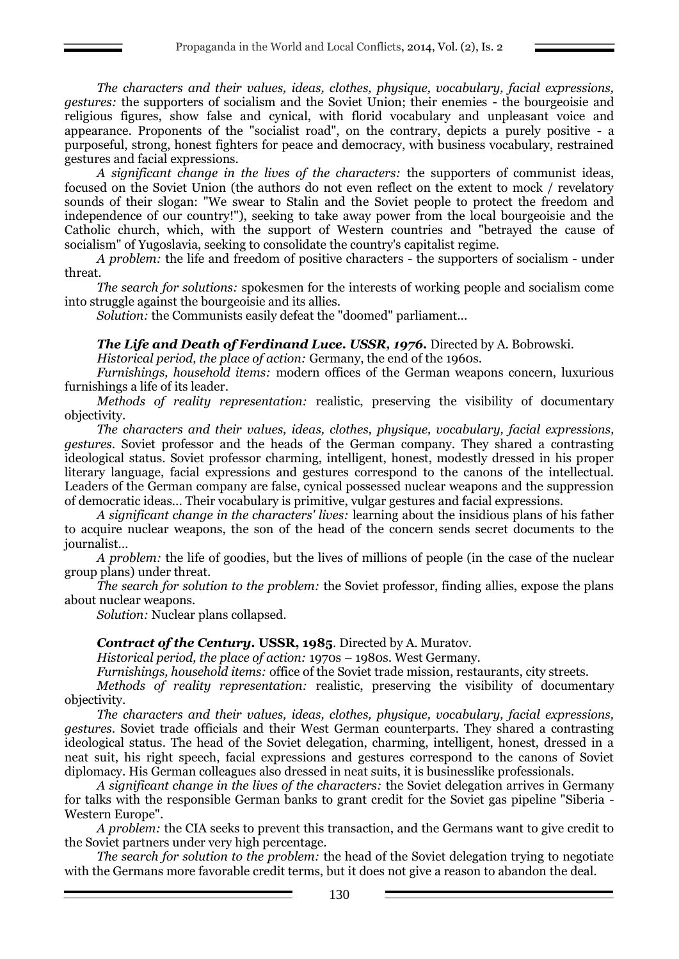*The characters and their values, ideas, clothes, physique, vocabulary, facial expressions, gestures:* the supporters of socialism and the Soviet Union; their enemies - the bourgeoisie and religious figures, show false and cynical, with florid vocabulary and unpleasant voice and appearance. Proponents of the "socialist road", on the contrary, depicts a purely positive - a purposeful, strong, honest fighters for peace and democracy, with business vocabulary, restrained gestures and facial expressions.

*A significant change in the lives of the characters:* the supporters of communist ideas, focused on the Soviet Union (the authors do not even reflect on the extent to mock / revelatory sounds of their slogan: "We swear to Stalin and the Soviet people to protect the freedom and independence of our country!"), seeking to take away power from the local bourgeoisie and the Catholic church, which, with the support of Western countries and "betrayed the cause of socialism" of Yugoslavia, seeking to consolidate the country's capitalist regime.

*A problem:* the life and freedom of positive characters - the supporters of socialism - under threat.

*The search for solutions:* spokesmen for the interests of working people and socialism come into struggle against the bourgeoisie and its allies.

*Solution:* the Communists easily defeat the "doomed" parliament...

## *The Life and Death of Ferdinand Luce. USSR, 1976.* Directed by A. Bobrowski.

*Historical period, the place of action:* Germany, the end of the 1960s.

*Furnishings, household items:* modern offices of the German weapons concern, luxurious furnishings a life of its leader.

*Methods of reality representation:* realistic, preserving the visibility of documentary objectivity.

*The characters and their values, ideas, clothes, physique, vocabulary, facial expressions, gestures*. Soviet professor and the heads of the German company. They shared a contrasting ideological status. Soviet professor charming, intelligent, honest, modestly dressed in his proper literary language, facial expressions and gestures correspond to the canons of the intellectual. Leaders of the German company are false, cynical possessed nuclear weapons and the suppression of democratic ideas... Their vocabulary is primitive, vulgar gestures and facial expressions.

*A significant change in the characters' lives:* learning about the insidious plans of his father to acquire nuclear weapons, the son of the head of the concern sends secret documents to the journalist…

*A problem:* the life of goodies, but the lives of millions of people (in the case of the nuclear group plans) under threat.

*The search for solution to the problem:* the Soviet professor, finding allies, expose the plans about nuclear weapons.

*Solution:* Nuclear plans collapsed.

## *Contract of the Century.* **USSR, 1985**. Directed by A. Muratov.

*Historical period, the place of action:* 1970s – 1980s. West Germany.

*Furnishings, household items:* office of the Soviet trade mission, restaurants, city streets.

*Methods of reality representation:* realistic, preserving the visibility of documentary objectivity.

*The characters and their values, ideas, clothes, physique, vocabulary, facial expressions, gestures*. Soviet trade officials and their West German counterparts. They shared a contrasting ideological status. The head of the Soviet delegation, charming, intelligent, honest, dressed in a neat suit, his right speech, facial expressions and gestures correspond to the canons of Soviet diplomacy. His German colleagues also dressed in neat suits, it is businesslike professionals.

*A significant change in the lives of the characters:* the Soviet delegation arrives in Germany for talks with the responsible German banks to grant credit for the Soviet gas pipeline "Siberia - Western Europe".

*A problem:* the CIA seeks to prevent this transaction, and the Germans want to give credit to the Soviet partners under very high percentage.

*The search for solution to the problem:* the head of the Soviet delegation trying to negotiate with the Germans more favorable credit terms, but it does not give a reason to abandon the deal.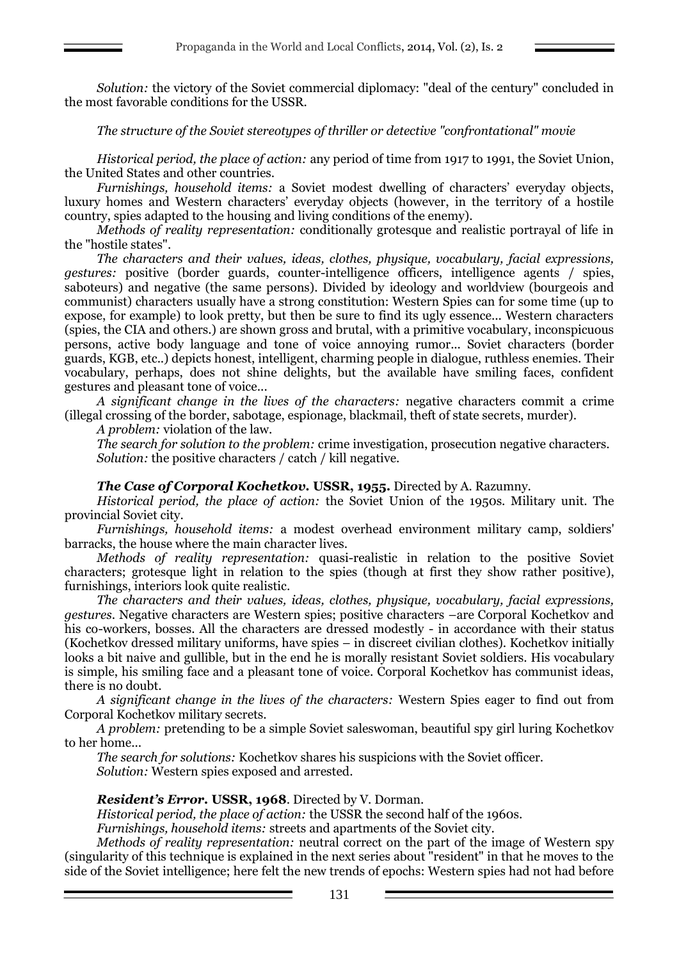*Solution:* the victory of the Soviet commercial diplomacy: "deal of the century" concluded in the most favorable conditions for the USSR.

## *The structure of the Soviet stereotypes of thriller or detective "confrontational" movie*

*Historical period, the place of action:* any period of time from 1917 to 1991, the Soviet Union, the United States and other countries.

*Furnishings, household items:* a Soviet modest dwelling of characters' everyday objects, luxury homes and Western characters' everyday objects (however, in the territory of a hostile country, spies adapted to the housing and living conditions of the enemy).

*Methods of reality representation:* conditionally grotesque and realistic portrayal of life in the "hostile states".

*The characters and their values, ideas, clothes, physique, vocabulary, facial expressions, gestures:* positive (border guards, counter-intelligence officers, intelligence agents / spies, saboteurs) and negative (the same persons). Divided by ideology and worldview (bourgeois and communist) characters usually have a strong constitution: Western Spies can for some time (up to expose, for example) to look pretty, but then be sure to find its ugly essence... Western characters (spies, the CIA and others.) are shown gross and brutal, with a primitive vocabulary, inconspicuous persons, active body language and tone of voice annoying rumor... Soviet characters (border guards, KGB, etc..) depicts honest, intelligent, charming people in dialogue, ruthless enemies. Their vocabulary, perhaps, does not shine delights, but the available have smiling faces, confident gestures and pleasant tone of voice...

*A significant change in the lives of the characters:* negative characters commit a crime (illegal crossing of the border, sabotage, espionage, blackmail, theft of state secrets, murder).

*A problem:* violation of the law.

*The search for solution to the problem:* crime investigation, prosecution negative characters. *Solution:* the positive characters / catch / kill negative.

## *The Case of Corporal Kochetkov.* **USSR, 1955.** Directed by A. Razumny.

*Historical period, the place of action:* the Soviet Union of the 1950s. Military unit. The provincial Soviet city.

*Furnishings, household items:* a modest overhead environment military camp, soldiers' barracks, the house where the main character lives.

*Methods of reality representation:* quasi-realistic in relation to the positive Soviet characters; grotesque light in relation to the spies (though at first they show rather positive), furnishings, interiors look quite realistic.

*The characters and their values, ideas, clothes, physique, vocabulary, facial expressions, gestures*. Negative characters are Western spies; positive characters –are Corporal Kochetkov and his co-workers, bosses. All the characters are dressed modestly - in accordance with their status (Kochetkov dressed military uniforms, have spies – in discreet civilian clothes). Kochetkov initially looks a bit naive and gullible, but in the end he is morally resistant Soviet soldiers. His vocabulary is simple, his smiling face and a pleasant tone of voice. Corporal Kochetkov has communist ideas, there is no doubt.

*A significant change in the lives of the characters:* Western Spies eager to find out from Corporal Kochetkov military secrets.

*A problem:* pretending to be a simple Soviet saleswoman, beautiful spy girl luring Kochetkov to her home...

*The search for solutions:* Kochetkov shares his suspicions with the Soviet officer. *Solution:* Western spies exposed and arrested.

## *Resident's Error.* **USSR, 1968**. Directed by V. Dorman.

*Historical period, the place of action:* the USSR the second half of the 1960s.

*Furnishings, household items:* streets and apartments of the Soviet city.

*Methods of reality representation:* neutral correct on the part of the image of Western spy (singularity of this technique is explained in the next series about "resident" in that he moves to the side of the Soviet intelligence; here felt the new trends of epochs: Western spies had not had before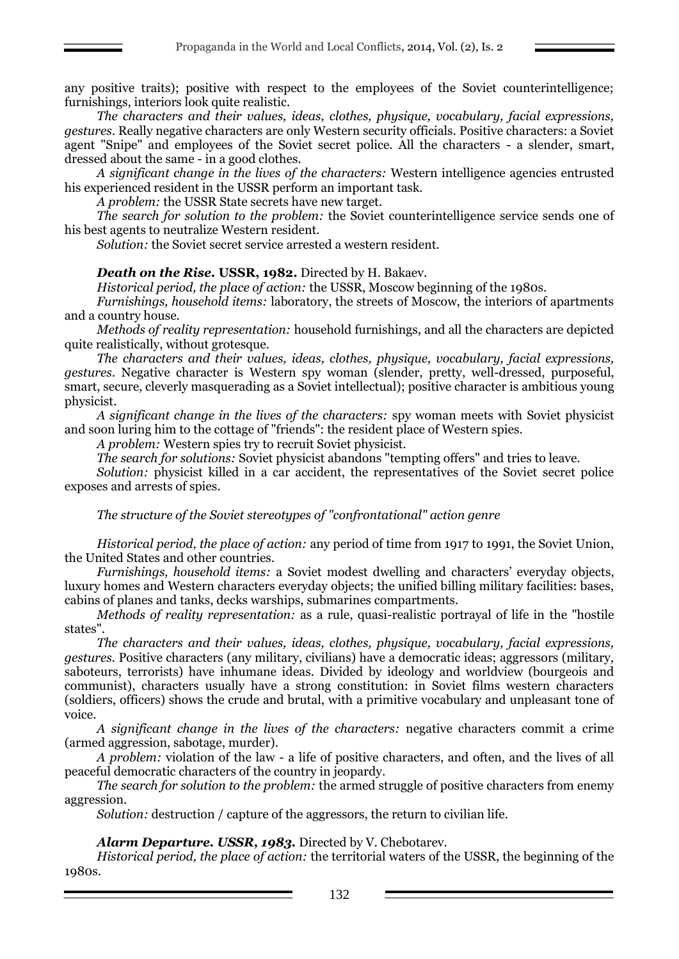any positive traits); positive with respect to the employees of the Soviet counterintelligence; furnishings, interiors look quite realistic.

*The characters and their values, ideas, clothes, physique, vocabulary, facial expressions, gestures*. Really negative characters are only Western security officials. Positive characters: a Soviet agent "Snipe" and employees of the Soviet secret police. All the characters - a slender, smart, dressed about the same - in a good clothes.

*A significant change in the lives of the characters:* Western intelligence agencies entrusted his experienced resident in the USSR perform an important task.

*A problem:* the USSR State secrets have new target.

*The search for solution to the problem:* the Soviet counterintelligence service sends one of his best agents to neutralize Western resident.

*Solution:* the Soviet secret service arrested a western resident.

## *Death on the Rise.* **USSR, 1982.** Directed by H. Bakaev.

*Historical period, the place of action:* the USSR, Moscow beginning of the 1980s.

*Furnishings, household items:* laboratory, the streets of Moscow, the interiors of apartments and a country house.

*Methods of reality representation:* household furnishings, and all the characters are depicted quite realistically, without grotesque.

*The characters and their values, ideas, clothes, physique, vocabulary, facial expressions, gestures*. Negative character is Western spy woman (slender, pretty, well-dressed, purposeful, smart, secure, cleverly masquerading as a Soviet intellectual); positive character is ambitious young physicist.

*A significant change in the lives of the characters:* spy woman meets with Soviet physicist and soon luring him to the cottage of "friends": the resident place of Western spies.

*A problem:* Western spies try to recruit Soviet physicist.

*The search for solutions:* Soviet physicist abandons "tempting offers" and tries to leave.

*Solution:* physicist killed in a car accident, the representatives of the Soviet secret police exposes and arrests of spies.

*The structure of the Soviet stereotypes of "confrontational" action genre*

*Historical period, the place of action:* any period of time from 1917 to 1991, the Soviet Union, the United States and other countries.

*Furnishings, household items:* a Soviet modest dwelling and characters' everyday objects, luxury homes and Western characters everyday objects; the unified billing military facilities: bases, cabins of planes and tanks, decks warships, submarines compartments.

*Methods of reality representation:* as a rule, quasi-realistic portrayal of life in the "hostile states".

*The characters and their values, ideas, clothes, physique, vocabulary, facial expressions, gestures.* Positive characters (any military, civilians) have a democratic ideas; aggressors (military, saboteurs, terrorists) have inhumane ideas. Divided by ideology and worldview (bourgeois and communist), characters usually have a strong constitution: in Soviet films western characters (soldiers, officers) shows the crude and brutal, with a primitive vocabulary and unpleasant tone of voice.

*A significant change in the lives of the characters:* negative characters commit a crime (armed aggression, sabotage, murder).

*A problem:* violation of the law - a life of positive characters, and often, and the lives of all peaceful democratic characters of the country in jeopardy.

*The search for solution to the problem:* the armed struggle of positive characters from enemy aggression.

*Solution:* destruction / capture of the aggressors, the return to civilian life.

*Alarm Departure. USSR, 1983.* Directed by V. Chebotarev.

*Historical period, the place of action:* the territorial waters of the USSR, the beginning of the 1980s.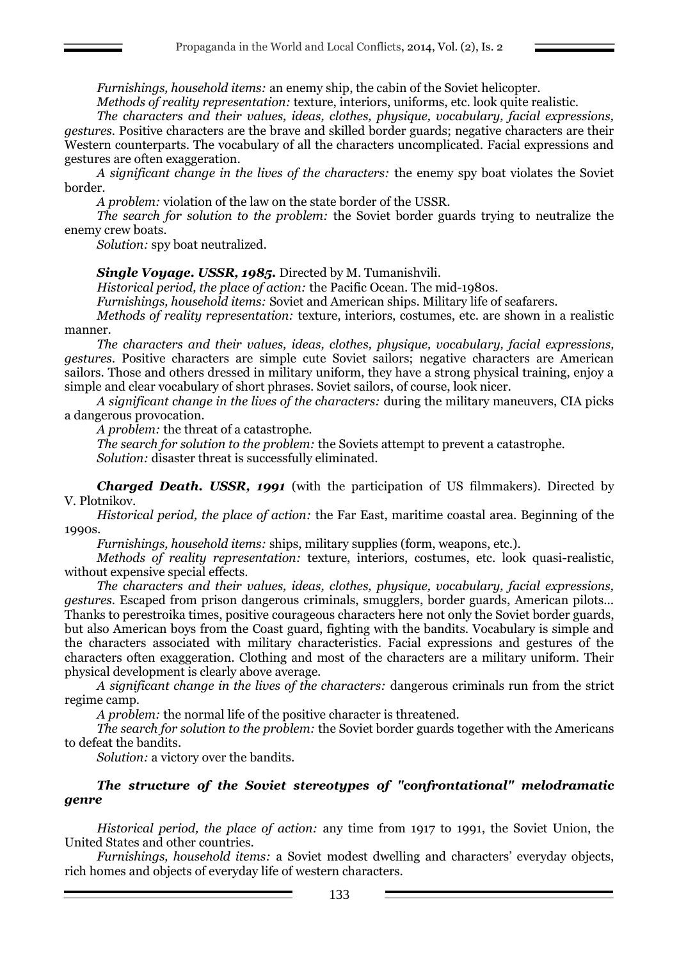*Furnishings, household items:* an enemy ship, the cabin of the Soviet helicopter.

*Methods of reality representation:* texture, interiors, uniforms, etc. look quite realistic.

*The characters and their values, ideas, clothes, physique, vocabulary, facial expressions, gestures.* Positive characters are the brave and skilled border guards; negative characters are their Western counterparts. The vocabulary of all the characters uncomplicated. Facial expressions and gestures are often exaggeration.

*A significant change in the lives of the characters:* the enemy spy boat violates the Soviet border.

*A problem:* violation of the law on the state border of the USSR.

*The search for solution to the problem:* the Soviet border guards trying to neutralize the enemy crew boats.

*Solution:* spy boat neutralized.

*Single Voyage. USSR, 1985.* Directed by M. Tumanishvili.

*Historical period, the place of action:* the Pacific Ocean. The mid-1980s.

*Furnishings, household items:* Soviet and American ships. Military life of seafarers.

*Methods of reality representation:* texture, interiors, costumes, etc. are shown in a realistic manner.

*The characters and their values, ideas, clothes, physique, vocabulary, facial expressions, gestures*. Positive characters are simple cute Soviet sailors; negative characters are American sailors. Those and others dressed in military uniform, they have a strong physical training, enjoy a simple and clear vocabulary of short phrases. Soviet sailors, of course, look nicer.

*A significant change in the lives of the characters:* during the military maneuvers, CIA picks a dangerous provocation.

*A problem:* the threat of a catastrophe.

*The search for solution to the problem:* the Soviets attempt to prevent a catastrophe.

*Solution:* disaster threat is successfully eliminated.

*Charged Death. USSR, 1991* (with the participation of US filmmakers). Directed by V. Plotnikov.

*Historical period, the place of action:* the Far East, maritime coastal area. Beginning of the 1990s.

*Furnishings, household items:* ships, military supplies (form, weapons, etc.).

*Methods of reality representation:* texture, interiors, costumes, etc. look quasi-realistic, without expensive special effects.

*The characters and their values, ideas, clothes, physique, vocabulary, facial expressions, gestures.* Escaped from prison dangerous criminals, smugglers, border guards, American pilots... Thanks to perestroika times, positive courageous characters here not only the Soviet border guards, but also American boys from the Coast guard, fighting with the bandits. Vocabulary is simple and the characters associated with military characteristics. Facial expressions and gestures of the characters often exaggeration. Clothing and most of the characters are a military uniform. Their physical development is clearly above average.

*A significant change in the lives of the characters:* dangerous criminals run from the strict regime camp.

*A problem:* the normal life of the positive character is threatened.

*The search for solution to the problem:* the Soviet border guards together with the Americans to defeat the bandits.

*Solution:* a victory over the bandits.

## *The structure of the Soviet stereotypes of "confrontational" melodramatic genre*

*Historical period, the place of action:* any time from 1917 to 1991, the Soviet Union, the United States and other countries.

*Furnishings, household items:* a Soviet modest dwelling and characters' everyday objects, rich homes and objects of everyday life of western characters.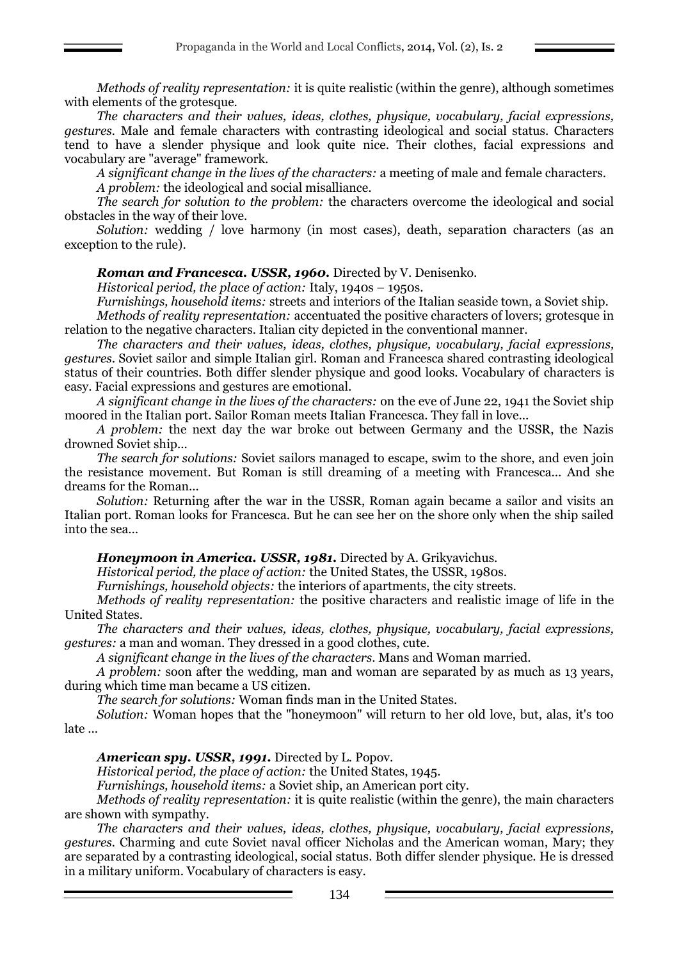*Methods of reality representation:* it is quite realistic (within the genre), although sometimes with elements of the grotesque.

*The characters and their values, ideas, clothes, physique, vocabulary, facial expressions, gestures.* Male and female characters with contrasting ideological and social status. Characters tend to have a slender physique and look quite nice. Their clothes, facial expressions and vocabulary are "average" framework.

*A significant change in the lives of the characters:* a meeting of male and female characters.

*A problem:* the ideological and social misalliance.

*The search for solution to the problem:* the characters overcome the ideological and social obstacles in the way of their love.

*Solution:* wedding / love harmony (in most cases), death, separation characters (as an exception to the rule).

*Roman and Francesca. USSR, 1960.* Directed by V. Denisenko.

*Historical period, the place of action:* Italy, 1940s – 1950s.

*Furnishings, household items:* streets and interiors of the Italian seaside town, a Soviet ship.

*Methods of reality representation:* accentuated the positive characters of lovers; grotesque in relation to the negative characters. Italian city depicted in the conventional manner.

*The characters and their values, ideas, clothes, physique, vocabulary, facial expressions, gestures*. Soviet sailor and simple Italian girl. Roman and Francesca shared contrasting ideological status of their countries. Both differ slender physique and good looks. Vocabulary of characters is easy. Facial expressions and gestures are emotional.

*A significant change in the lives of the characters:* on the eve of June 22, 1941 the Soviet ship moored in the Italian port. Sailor Roman meets Italian Francesca. They fall in love...

*A problem:* the next day the war broke out between Germany and the USSR, the Nazis drowned Soviet ship...

*The search for solutions:* Soviet sailors managed to escape, swim to the shore, and even join the resistance movement. But Roman is still dreaming of a meeting with Francesca... And she dreams for the Roman...

*Solution:* Returning after the war in the USSR, Roman again became a sailor and visits an Italian port. Roman looks for Francesca. But he can see her on the shore only when the ship sailed into the sea…

# *Honeymoon in America. USSR, 1981.* Directed by A. Grikyavichus.

*Historical period, the place of action:* the United States, the USSR, 1980s.

*Furnishings, household objects:* the interiors of apartments, the city streets.

*Methods of reality representation:* the positive characters and realistic image of life in the United States.

*The characters and their values, ideas, clothes, physique, vocabulary, facial expressions, gestures:* a man and woman. They dressed in a good clothes, cute.

*A significant change in the lives of the characters*. Mans and Woman married.

*A problem:* soon after the wedding, man and woman are separated by as much as 13 years, during which time man became a US citizen.

*The search for solutions:* Woman finds man in the United States.

*Solution:* Woman hopes that the "honeymoon" will return to her old love, but, alas, it's too late ...

## *American spy. USSR, 1991.* Directed by L. Popov.

*Historical period, the place of action:* the United States, 1945.

*Furnishings, household items:* a Soviet ship, an American port city.

*Methods of reality representation:* it is quite realistic (within the genre), the main characters are shown with sympathy.

*The characters and their values, ideas, clothes, physique, vocabulary, facial expressions, gestures.* Charming and cute Soviet naval officer Nicholas and the American woman, Mary; they are separated by a contrasting ideological, social status. Both differ slender physique. He is dressed in a military uniform. Vocabulary of characters is easy.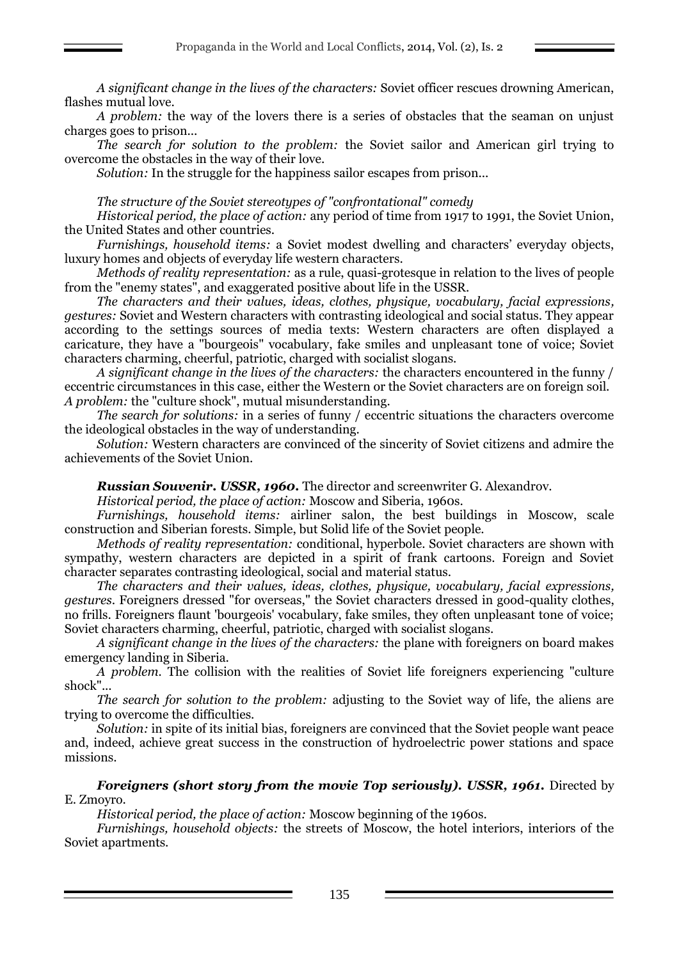*A significant change in the lives of the characters:* Soviet officer rescues drowning American, flashes mutual love.

*A problem:* the way of the lovers there is a series of obstacles that the seaman on unjust charges goes to prison...

*The search for solution to the problem:* the Soviet sailor and American girl trying to overcome the obstacles in the way of their love.

*Solution:* In the struggle for the happiness sailor escapes from prison...

## *The structure of the Soviet stereotypes of "confrontational" comedy*

*Historical period, the place of action:* any period of time from 1917 to 1991, the Soviet Union, the United States and other countries.

*Furnishings, household items:* a Soviet modest dwelling and characters' everyday objects, luxury homes and objects of everyday life western characters.

*Methods of reality representation:* as a rule, quasi-grotesque in relation to the lives of people from the "enemy states", and exaggerated positive about life in the USSR.

*The characters and their values, ideas, clothes, physique, vocabulary, facial expressions, gestures:* Soviet and Western characters with contrasting ideological and social status. They appear according to the settings sources of media texts: Western characters are often displayed a caricature, they have a "bourgeois" vocabulary, fake smiles and unpleasant tone of voice; Soviet characters charming, cheerful, patriotic, charged with socialist slogans.

*A significant change in the lives of the characters:* the characters encountered in the funny / eccentric circumstances in this case, either the Western or the Soviet characters are on foreign soil. *A problem:* the "culture shock", mutual misunderstanding.

*The search for solutions:* in a series of funny / eccentric situations the characters overcome the ideological obstacles in the way of understanding.

*Solution:* Western characters are convinced of the sincerity of Soviet citizens and admire the achievements of the Soviet Union.

*Russian Souvenir. USSR, 1960.* The director and screenwriter G. Alexandrov.

*Historical period, the place of action:* Moscow and Siberia, 1960s.

*Furnishings, household items:* airliner salon, the best buildings in Moscow, scale construction and Siberian forests. Simple, but Solid life of the Soviet people.

*Methods of reality representation:* conditional, hyperbole. Soviet characters are shown with sympathy, western characters are depicted in a spirit of frank cartoons. Foreign and Soviet character separates contrasting ideological, social and material status.

*The characters and their values, ideas, clothes, physique, vocabulary, facial expressions, gestures*. Foreigners dressed "for overseas," the Soviet characters dressed in good-quality clothes, no frills. Foreigners flaunt 'bourgeois' vocabulary, fake smiles, they often unpleasant tone of voice; Soviet characters charming, cheerful, patriotic, charged with socialist slogans.

*A significant change in the lives of the characters:* the plane with foreigners on board makes emergency landing in Siberia.

*A problem.* The collision with the realities of Soviet life foreigners experiencing "culture shock"...

*The search for solution to the problem:* adjusting to the Soviet way of life, the aliens are trying to overcome the difficulties.

*Solution:* in spite of its initial bias, foreigners are convinced that the Soviet people want peace and, indeed, achieve great success in the construction of hydroelectric power stations and space missions.

*Foreigners (short story from the movie Top seriously). USSR, 1961.* Directed by E. Zmoyro.

*Historical period, the place of action:* Moscow beginning of the 1960s.

*Furnishings, household objects:* the streets of Moscow, the hotel interiors, interiors of the Soviet apartments.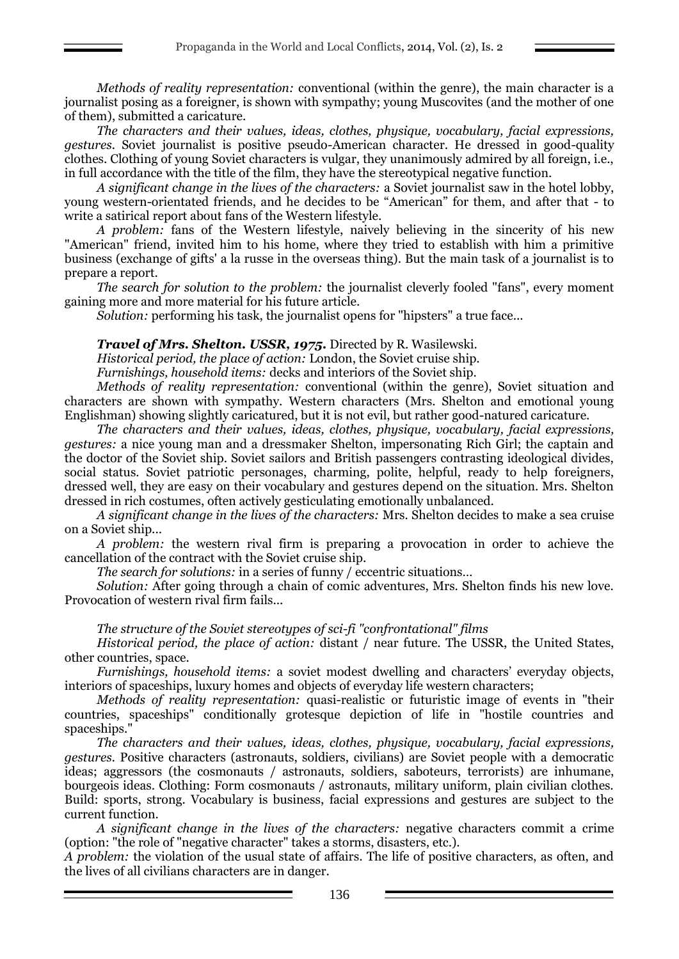*Methods of reality representation:* conventional (within the genre), the main character is a journalist posing as a foreigner, is shown with sympathy; young Muscovites (and the mother of one of them), submitted a caricature.

*The characters and their values, ideas, clothes, physique, vocabulary, facial expressions, gestures.* Soviet journalist is positive pseudo-American character. He dressed in good-quality clothes. Clothing of young Soviet characters is vulgar, they unanimously admired by all foreign, i.e., in full accordance with the title of the film, they have the stereotypical negative function.

*A significant change in the lives of the characters:* a Soviet journalist saw in the hotel lobby, young western-orientated friends, and he decides to be "American" for them, and after that - to write a satirical report about fans of the Western lifestyle.

*A problem:* fans of the Western lifestyle, naively believing in the sincerity of his new "American" friend, invited him to his home, where they tried to establish with him a primitive business (exchange of gifts' a la russe in the overseas thing). But the main task of a journalist is to prepare a report.

*The search for solution to the problem:* the journalist cleverly fooled "fans", every moment gaining more and more material for his future article.

*Solution:* performing his task, the journalist opens for "hipsters" a true face...

*Travel of Mrs. Shelton. USSR, 1975.* Directed by R. Wasilewski.

*Historical period, the place of action:* London, the Soviet cruise ship.

*Furnishings, household items:* decks and interiors of the Soviet ship.

*Methods of reality representation:* conventional (within the genre), Soviet situation and characters are shown with sympathy. Western characters (Mrs. Shelton and emotional young Englishman) showing slightly caricatured, but it is not evil, but rather good-natured caricature.

*The characters and their values, ideas, clothes, physique, vocabulary, facial expressions, gestures:* a nice young man and a dressmaker Shelton, impersonating Rich Girl; the captain and the doctor of the Soviet ship. Soviet sailors and British passengers contrasting ideological divides, social status. Soviet patriotic personages, charming, polite, helpful, ready to help foreigners, dressed well, they are easy on their vocabulary and gestures depend on the situation. Mrs. Shelton dressed in rich costumes, often actively gesticulating emotionally unbalanced.

*A significant change in the lives of the characters:* Mrs. Shelton decides to make a sea cruise on a Soviet ship...

*A problem:* the western rival firm is preparing a provocation in order to achieve the cancellation of the contract with the Soviet cruise ship.

*The search for solutions:* in a series of funny / eccentric situations…

*Solution:* After going through a chain of comic adventures, Mrs. Shelton finds his new love. Provocation of western rival firm fails...

#### *The structure of the Soviet stereotypes of sci-fi "confrontational" films*

*Historical period, the place of action:* distant / near future. The USSR, the United States, other countries, space.

*Furnishings, household items:* a soviet modest dwelling and characters' everyday objects, interiors of spaceships, luxury homes and objects of everyday life western characters;

*Methods of reality representation:* quasi-realistic or futuristic image of events in "their countries, spaceships" conditionally grotesque depiction of life in "hostile countries and spaceships."

*The characters and their values, ideas, clothes, physique, vocabulary, facial expressions, gestures.* Positive characters (astronauts, soldiers, civilians) are Soviet people with a democratic ideas; aggressors (the cosmonauts / astronauts, soldiers, saboteurs, terrorists) are inhumane, bourgeois ideas. Clothing: Form cosmonauts / astronauts, military uniform, plain civilian clothes. Build: sports, strong. Vocabulary is business, facial expressions and gestures are subject to the current function.

*A significant change in the lives of the characters:* negative characters commit a crime (option: "the role of "negative character" takes a storms, disasters, etc.).

*A problem:* the violation of the usual state of affairs. The life of positive characters, as often, and the lives of all civilians characters are in danger.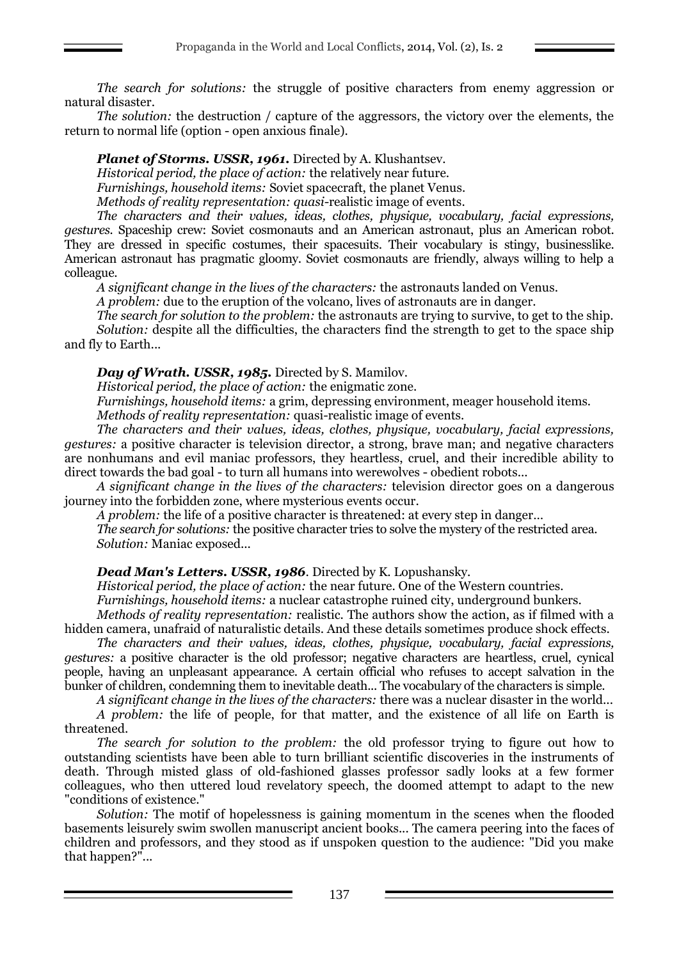*The search for solutions:* the struggle of positive characters from enemy aggression or natural disaster.

*The solution:* the destruction / capture of the aggressors, the victory over the elements, the return to normal life (option - open anxious finale).

*Planet of Storms. USSR, 1961.* Directed by A. Klushantsev.

*Historical period, the place of action:* the relatively near future.

*Furnishings, household items:* Soviet spacecraft, the planet Venus.

*Methods of reality representation: quasi-*realistic image of events.

*The characters and their values, ideas, clothes, physique, vocabulary, facial expressions, gestures.* Spaceship crew: Soviet cosmonauts and an American astronaut, plus an American robot. They are dressed in specific costumes, their spacesuits. Their vocabulary is stingy, businesslike. American astronaut has pragmatic gloomy. Soviet cosmonauts are friendly, always willing to help a colleague.

*A significant change in the lives of the characters:* the astronauts landed on Venus.

*A problem:* due to the eruption of the volcano, lives of astronauts are in danger.

*The search for solution to the problem:* the astronauts are trying to survive, to get to the ship. *Solution:* despite all the difficulties, the characters find the strength to get to the space ship and fly to Earth...

*Day of Wrath. USSR, 1985.* Directed by S. Mamilov.

*Historical period, the place of action:* the enigmatic zone.

*Furnishings, household items:* a grim, depressing environment, meager household items. *Methods of reality representation:* quasi*-*realistic image of events.

*The characters and their values, ideas, clothes, physique, vocabulary, facial expressions, gestures:* a positive character is television director, a strong, brave man; and negative characters are nonhumans and evil maniac professors, they heartless, cruel, and their incredible ability to direct towards the bad goal - to turn all humans into werewolves - obedient robots...

*A significant change in the lives of the characters:* television director goes on a dangerous journey into the forbidden zone, where mysterious events occur.

*A problem:* the life of a positive character is threatened: at every step in danger…

*The search for solutions:* the positive character tries to solve the mystery of the restricted area. *Solution:* Maniac exposed...

# *Dead Man's Letters. USSR, 1986*. Directed by K. Lopushansky.

*Historical period, the place of action:* the near future. One of the Western countries.

*Furnishings, household items:* a nuclear catastrophe ruined city, underground bunkers.

*Methods of reality representation:* realistic. The authors show the action, as if filmed with a hidden camera, unafraid of naturalistic details. And these details sometimes produce shock effects.

*The characters and their values, ideas, clothes, physique, vocabulary, facial expressions, gestures:* a positive character is the old professor; negative characters are heartless, cruel, cynical people, having an unpleasant appearance. A certain official who refuses to accept salvation in the bunker of children, condemning them to inevitable death... The vocabulary of the characters is simple.

*A significant change in the lives of the characters:* there was a nuclear disaster in the world... *A problem:* the life of people, for that matter, and the existence of all life on Earth is threatened.

*The search for solution to the problem:* the old professor trying to figure out how to outstanding scientists have been able to turn brilliant scientific discoveries in the instruments of death. Through misted glass of old-fashioned glasses professor sadly looks at a few former colleagues, who then uttered loud revelatory speech, the doomed attempt to adapt to the new "conditions of existence."

*Solution:* The motif of hopelessness is gaining momentum in the scenes when the flooded basements leisurely swim swollen manuscript ancient books... The camera peering into the faces of children and professors, and they stood as if unspoken question to the audience: "Did you make that happen?"...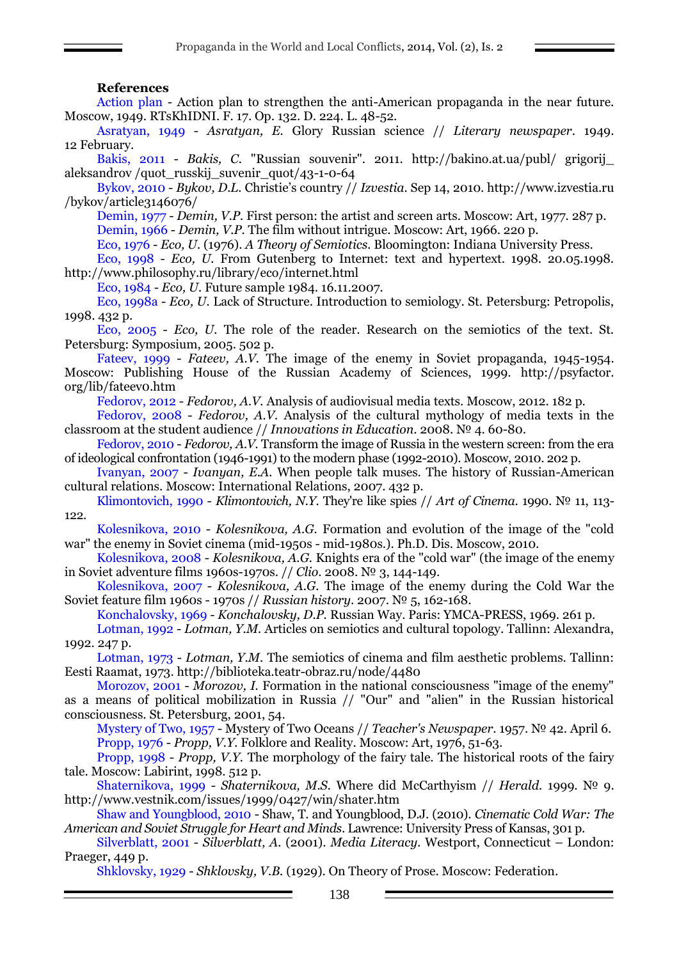#### **References**

Action plan - Action plan to strengthen the anti-American propaganda in the near future. Moscow, 1949. RTsKhIDNI. F. 17. Op. 132. D. 224. L. 48-52.

Asratyan, 1949 - *Asratyan, E.* Glory Russian science // *Literary newspaper*. 1949. 12 February.

Bakis, 2011 - *Bakis, C.* "Russian souvenir". 2011. http://bakino.at.ua/publ/ grigorij\_ aleksandrov /quot\_russkij\_suvenir\_quot/43-1-0-64

Bykov, 2010 - *Bykov, D.L.* Christie's country // *Izvestia.* Sep 14, 2010. http://www.izvestia.ru /bykov/article3146076/

Demin, 1977 - *Demin, V.P.* First person: the artist and screen arts. Moscow: Art, 1977. 287 p. Demin, 1966 - *Demin, V.P.* The film without intrigue. Moscow: Art, 1966. 220 p.

Eco, 1976 - *Eco, U.* (1976). *A Theory of Semiotics.* Bloomington: Indiana University Press.

Eco, 1998 - *Eco, U.* From Gutenberg to Internet: text and hypertext. 1998. 20.05.1998. http://www.philosophy.ru/library/eco/internet.html

Eco, 1984 - *Eco, U.* Future sample 1984. 16.11.2007.

Eco, 1998а - *Eco, U.* Lack of Structure. Introduction to semiology. St. Petersburg: Petropolis, 1998. 432 p.

Eco, 2005 - *Eco, U.* The role of the reader. Research on the semiotics of the text. St. Petersburg: Symposium, 2005. 502 p.

Fateev, 1999 - *Fateev, A.V.* The image of the enemy in Soviet propaganda, 1945-1954. Moscow: Publishing House of the Russian Academy of Sciences, 1999. http://psyfactor. org/lib/fateev0.htm

Fedorov, 2012 - *Fedorov, A.V.* Analysis of audiovisual media texts. Moscow, 2012. 182 p.

Fedorov, 2008 - *Fedorov, A.V.* Analysis of the cultural mythology of media texts in the classroom at the student audience // *Innovations in Education*. 2008. № 4. 60-80.

Fedorov, 2010 - *Fedorov, A.V.* Transform the image of Russia in the western screen: from the era of ideological confrontation (1946-1991) to the modern phase (1992-2010). Moscow, 2010. 202 p.

Ivanyan, 2007 - *Ivanyan, E.A.* When people talk muses. The history of Russian-American cultural relations. Moscow: International Relations, 2007. 432 p.

Klimontovich, 1990 - *Klimontovich, N.Y.* They're like spies // *Art of Cinema*. 1990. № 11, 113- 122.

Kolesnikova, 2010 - *Kolesnikova, A.G.* Formation and evolution of the image of the "cold war" the enemy in Soviet cinema (mid-1950s - mid-1980s.). Ph.D. Dis. Moscow, 2010.

Kolesnikova, 2008 - *Kolesnikova, A.G.* Knights era of the "cold war" (the image of the enemy in Soviet adventure films 1960s-1970s. // *Clio*. 2008. № 3, 144-149.

Kolesnikova, 2007 - *Kolesnikova, A.G.* The image of the enemy during the Cold War the Soviet feature film 1960s - 1970s // *Russian history*. 2007. № 5, 162-168.

Konchalovsky, 1969 - *Konchalovsky, D.P.* Russian Way. Paris: YMCA-PRESS, 1969. 261 p.

Lotman, 1992 - *Lotman, Y.M.* Articles on semiotics and cultural topology. Tallinn: Alexandra, 1992. 247 p.

Lotman, 1973 - *Lotman, Y.M.* The semiotics of cinema and film aesthetic problems. Tallinn: Eesti Raamat, 1973. http://biblioteka.teatr-obraz.ru/node/4480

Morozov, 2001 - *Morozov, I.* Formation in the national consciousness "image of the enemy" as a means of political mobilization in Russia // "Our" and "alien" in the Russian historical consciousness. St. Petersburg, 2001, 54.

Mystery of Two, 1957 - Mystery of Two Oceans // *Teacher's Newspaper*. 1957. № 42. April 6. Propp, 1976 - *Propp, V.Y.* Folklore and Reality. Moscow: Art, 1976, 51-63.

Propp, 1998 - *Propp, V.Y.* The morphology of the fairy tale. The historical roots of the fairy tale. Moscow: Labirint, 1998. 512 p.

Shaternikova, 1999 - *Shaternikova, M.S.* Where did McCarthyism // *Herald.* 1999. № 9. http://www.vestnik.com/issues/1999/0427/win/shater.htm

Shaw and Youngblood, 2010 - Shaw, T. and Youngblood, D.J. (2010). *Cinematic Cold War: The American and Soviet Struggle for Heart and Minds*. Lawrence: University Press of Kansas, 301 p.

Silverblatt, 2001 - *Silverblatt, A.* (2001). *Media Literacy.* Westport, Connecticut – London: Praeger, 449 p.

Shklovsky, 1929 - *Shklovsky, V.B.* (1929). On Theory of Prose. Moscow: Federation.